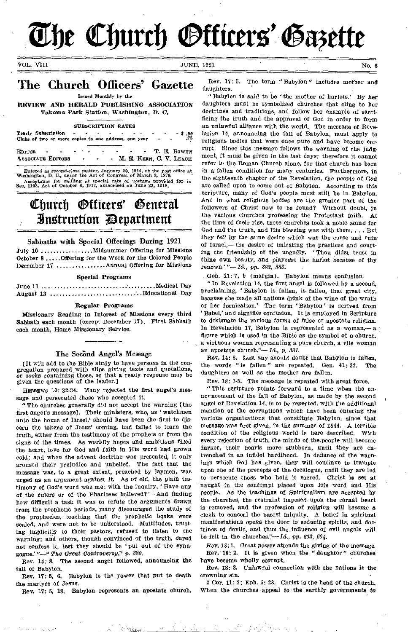**The Church Officers' Gazette** 

VOL. VIII No. 6

# The Church Officers' Gazette

Issued Monthly by the

REVIEW AND HERALD PUBLISHING ASSOCIATION Takoma Park Station, Washington, D. C.

#### SUBSCRIPTION RATES

Yearly Subscription - - - - - - - 5.98 Clubs of two or more copies to one address, one year - .75

EDITOR - - - - - - - T. E. BOWEN<br>ASSOCIATE EDITORS - - - M. E. KERN. C. V. LEACH - M. E. KERN, C. V. LEACH

Entered *as second-class* matter, January 20, 1914, at the post office at Washington, D. C., under the Act of Congress of March 3, 1879. Acceptance for mailing *at* special rate of postage provided for in Bee. 1103, Act of October 3, 1917, authorized on June 22, 1913.

# Church *Officers'* General ihtztruttiort 713epartment

## Sabbaths with Special Offerings During 1921

July 16  $\dots\dots\dots\dots$  Midsummer Offering for Missions October 8 ..... Offering for the Work for the Colored People December 17 .................. Annual Offering for Missions

#### Special Programs

June 11 Medical Day August 13 Educational Day

## Regular Programs

*Missionary* Reading in Interest of Missions every third Sabbath each month (except December 17). First Sabbath each month, Home Missionary Service.

#### The Second Angel's Message

[It will add to the Bible study to have persons in the congregation prepared with slips giving texts and quotations, *or* books containing these, so that a ready response may be given the questions of the leader.]

• HEBREWS 10: 32-34. Many rejected the first angel's message and persecuted those who accepted it.

"The churches generally did not accept the warning [the first angel's message]. Their ministers, who, as ' watchmen unto the house of Israel,' should *have* been the first to discern the tokens of Jesus' coming, had failed to learn the truth, either from the testimony of the prophets or from the signs of the times. As worldly hopes and ambitions filled the heart, love for God and faith in His word had grown cold; and when the advent doctrine was presented, it only aroused their prejudice and unbelief. The fact that the message was, to a great extent, preached by laymen, was urged as an argument against it. As of old, the plain testimony of God's word was met with the inquiry, ' Have any of the rulers or of the Pharisees believed?' And finding how difficult a task it was to refute the arguments drawn from the prophetic periods, many discouraged the study of the prophecies, teaching that the prophetic books were sealed, and were not to be understood. Multitudes, trusting implicitly to their pastors, refused to listen to the warning; and others, though convinced of the truth, dared not confess it, lest they should be ' put out of the synagogue.' "—" *The Great Controversy," p. 380.* 

Rev. 14: 8. The second angel followed, announcing the fall of Babylon.

Rev. 17: 5, 6. Babylon is the power that put to death the martyrs of Jesus.

Rev. 17: 5, 18. Babylon represents an apostate church.

Rev. *17:* 5. The term "Babylon" includes mother and daughters.

" Babylon is said to be the mother of harlots.' By her daughters must be symbolized churches that cling to her doctrines and traditions, and follow her example of sacrificing the truth and the approval of God in order to form an unlawful alliance with the world, The message of Revelation 14, announcing the fall of Babylon, must apply to religious bodies that were once pure and have become corrupt. Since this message follows the warning of the judgment, it must be given in the *last* days; therefore it cannot refer to the Roman Church alone, for that church has been in a fallen condition for many centuries. Furthermore, in the eighteenth chapter of the Revelation, the people *of God*  are called upon to come out of Babylon. According to this scripture, many of God's people must still be in Babylon. And in what religious bodies are the greater part of the followers of Christ now to be found? Without doubt, in the various churches professing the Protestant faith. At the time of their rise, these churches took a noble stand for God and the truth, and His blessing was with them.... But they fell *by* the same desire which was the curse and ruin, of Israel,— the desire of imitating the practices and courting the friendship of the ungodly. Thou didst trust in thine own beauty, and piayedst the harlot because of thy renown.'*"—Id., pp. 382, 383.* 

Gen. 11: 7, 9 (margin). Babylon means confusion.

" In Revelation 14, the first angel is followed by a second, proclaiming, ' Babylon is fallen, is fallen, that great city, because she made all nations drink of the wine of the wrath of her fornication.' The term ' Babylon' is derived from ' Babel,' and signifies confusion. It is employed in Scripture to designate the *various forms of* false or apostate religion. In Revelation 17, Babylon is represented as a woman,— $a$ figure which is used in the Bible as the symbol of a church, a virtuous woman representing a pure church, a vile woman an apostate church."-Id., p. 381.

Rev. 14: 8. Lest any should doubt that Babylon is fallen, the words "is fallen" are repeated. Gen. 41: 32. The daughters as well as the Mother are fallen.

Rev. 18: 1-5. The message is repeated with great force.

This scripture points forward to a time when the announcement of the fall of Babylon, as made by the second angel of Revelation 14, is to be repeated, with the additional mention of the corruptions which have been entering the Various organizations that constitute Babylon, since that message was first given, in the summer of 1844. A terrible condition of the religious world is here described. With every rejection of truth, the minds of the people will become darker, their hearts more stubborn, until they are entrenched in an infidel hardihood. In defiance of the warnings *which* God has given, they will continue to trample upon one of the precepts of the decalogue, until they are led to persecute those who hold it sacred. Christ is set at naught in the contempt placed upon His word and His People. As the teachings of Spiritualism are accepted by the churches, the restraint imposed, upon the carnal heart is removed, and the profession of religion will become a cloak to conceal the basest iniquity. A belief in spiritual manifestations opens the door to seducing spirits, and doctrines of devils, and thus the influence of evil angels will be felt in the churches."— *Id.,* pp. *603, 604.* 

Rev. 18:1. Great power attends the giving of the message. Rev. 18: 2. It is given when the " daughter " churches have become wholly corrupt.

Rev. 18: 3. Unlawful *connection* with the nations Is the crowning sin.

2 Cor. 11: 2; Eph. 5: 23. Christ is the head of the church. When the churches appeal to the earthly governments to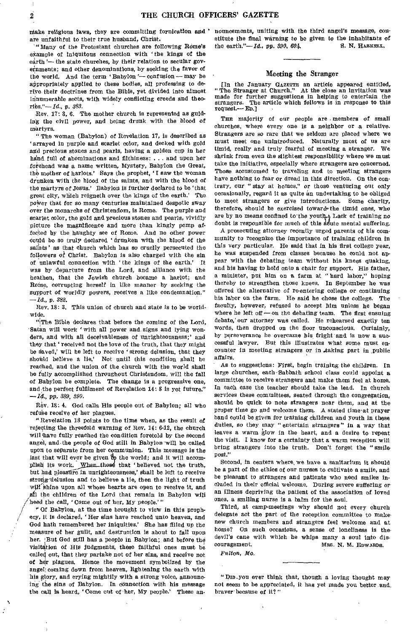niake religious laws, they are committing fornication and ' are unfaithful to their true husband, Christ.

'"Many of the Protestant churches are following Rome's example of iniquitous connection with 'the kings of the earth '- the state churches, by their relation to secular governments; and other denominations, by seeking the favor of the world, And the term,' Babylon '— confusion — may be appropriately applied to these bodies, all professing to derive their doctrines from the Bible, yet divided into almost innumerable sects, with widely conflicting creeds and theories."-*Id.*, p. 383.

Rev. 17: 3, 6. The mother church is represented as guiding the civil power, and being drunk with the blood of martyrs.

"The woman (Babylon) of Revelation 17, is described as ' arrayed in purple and scarlet color, and decked with gold and precious stones and pearls, having a golden cup in her hand full of abominations and filthiness: . . . and upon her forehead was a name written, Mystery, Babylon the Great, the mother of harlots.' Says the prophet, 'I saw the woman drunken with the blood of the saints, and with the blood of the martyrs of Jesus.' Babylon is further declared to be 'that great city, which reigneth over the kings of the earth.' The power that for so many centuries maintained despotic sway over the monarchs of Christendom, is Rome. The purple and scarlet color, the gold and precious stones and pearls, vividly picture the magnificence and more than kingly pomp affected by the haughty see of Rome. And no other power could be so truly declared 'drunken with the blood of the saints' as that church which has so cruelly persecuted the followers of Christ. Babylon is also charged with the sin of unlawful connection with 'the kings of the earth.' It was by departure from the Lord, and alliance with the heathen, that the Jewish church became a harlot; and Borne, corrupting herself in like manner by seeking the support of worldly powers, receives a like condemnation." *—Id.,* p. *382.* 

Rev. 18: 3. This union of church and state is to be worldwide.

"The Bible declares that before the coming of the Lord, Satan will work 'with all power and signs and lying wonders, and with all deceivableness of unrighteousness;' and they that 'received not the love of the truth, that they might be Saved,' will be left to receive 'strong delusion, that they should believe a lie.' Not until this condition shall be reached, and the union of the church with the world shall be fully accomplished throughout Christendom, will the fall of Babylon be complete. The change is a progressive one, and the perfect fulfilment of Revelation 14: 8 is yet future." *—Id.,* pp. *389, 390.* 

Rev. 18: 4. God calls His people out of Babylon; all who refuse receive of her plagues.

"Revelation 18 points to the time when, as the result of rejecting the threefold warning of Rev. 14: 6-12, the church will have fully reached the condition foretold by the second angel, and the people of God still in Babylon 'will be called upon to separate from her communion. This message is the iast that will ever be given to the world; and it will accomplish its work. When those that 'believed not the truth, but had pleasure in unrighteousness,' shall be left to receive strong-delusion and to believe a lie, then the light of truth  $w_i$ <sup>i</sup>shine upon all whose hearts are open to receive it, and Al the children of the Lord that remain in Babylon will heed the call, 'Come out of her, My people.'"

" Of Babylon, at the time brought to view in this prophecy, it is declared, 'Her sins have reached unto heaven, and God hath remembered her iniquities.' She has filled up the measure of her guilt, and destruction is about to fall upon her. But God still has a people in Babylon; and before the visitation of His judgments, these faithful ones must be called out, that they partake not of her sins, and receive not of her plagues. Hence the movement symbolized by the angel coming down from heaven, lightening the earth with his glory, and crying mightily with a strong voice, announcing the sins of Babylon. In connection with his message the call is heard, 'Come out of her, My people.' These announcements, uniting with the third angel's message, constitute the final warning to be given to the inhabitants of the earth."-*Id.*, pp. 390, 604. S. N. HASKELL.

### Meeting the Stranger

[In the January GAZETTE an article appeared entitled, "The Stranger at Church." At the close an invitation was made for further suggestions in helping to entertain the strangers. The article which follows is in response to this The article which follows is in response to this request.— En.]

THE majority of our people are members of small churches, where every one is a neighbor or a relative. Strangers are so rare that we seldom are placed where we must meet one unintroduced. Naturally most of us are timid, really and truly fearful of meeting a stranger. We shrink from even the slightest responsibility where we must take the initiative, especially where strangers are concerned. Those accustomed to traveling and to meeting strangers have nothing to fear or dread in this direction. On the contrary, our " stay at homes," or those venturing out only occasionally, regard it as quite an undertaking to be obliged to meet strangers or give introductions. Some charity, therefore, should be exercised toward-the timid ones, who are by no means confined to the youth<sub>+</sub>} Lack of training no doubt is responsible for much of this  $\det$  mental suffering.

A prosecuting attorney recently urged parents of his community to recognize the importance of training children in this very particular. He said that in his first college year, he was suspended from classes because he could not appear with the debating team without his knees quaking, and his having to hold onto a chair for support. His father, a minister, put hint on a farm at "hard labor," hoping thereby to strengthen those knees. In September he was offered the alternative of re-entering college or continuing his labor on the farm. He said he chose the college. The faculty, however, refused to accept him unless he began where he left off  $-$  on the debating team. The first ensuing debate,' our attorney was called. He rehearsed exactly ten words, then dropped on the floor unconscious. Certainly, by perseverance he overcame his fright and is now a successful lawyer. But this illustrates what some must encounter in meeting strangers or in taking part in public affairs.

As to suggestions: First, begin training the children. In large churches, each-Sabbath school class could appoint a committee to receive strangers and make them feel at home. In each case the teacher should take the lead. In church services these committees, seated through the congregation, should be quick to note strangers near them, and at the proper time go and welcome them. A stated time at prayer band could be given for training children and youth in these duties, so they may "entertain strangers" in a way that leaves a warm glow in the heart, and a desire to repeat the visit. I know for a certainty that a warm reception will bring strangers into the truth. Don't forget the "smilepost"

Second, in centers where, we have a sanitarium it should be a part of the ethics of our nurses to cultivate a smile, and be pleasant to strangers and patients who need smiles included in their official welcome. During severe suffering oran illness depriving the patient of the association of loved ones, a smiling nurse is a balm for the soul.

Third, at camp-meetings why should not every church delegate act the part of the reception committee to make, new church members and strangers feel welcome and at home? On such occasions, a sense of loneliness is thedevil's cane with which he whips many a soul into dis-<br>couragement. MRS. N. M. EDWARDS. MRS. N. M. EDWARDS.

*Fulton, Mo.* 

"Dm-you ever think that, though a loving thought may not seem to be appreciated, it has yet made you better and, braver' because of it?"

 $\overline{2}$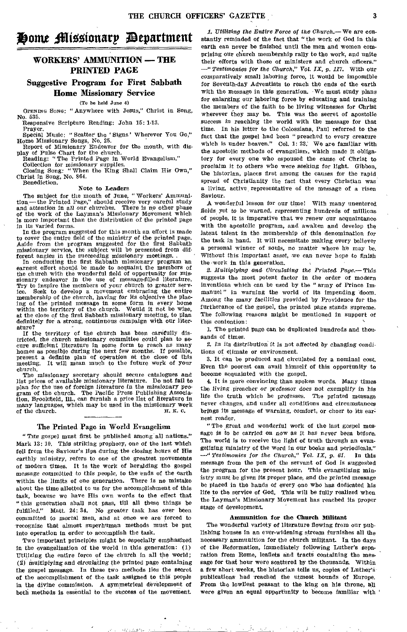# **H**ome Missionarp *P*epartment

# WORKERS' AMMUNITION — THE PRINTED PAGE

## Suggestive Program for First Sabbath Home Missionary Service

(To be held June 4)

OPENING SONG: "Anywhere with Jesus," Christ in Song, No. 535.

Responsive Scripture Reading: John 15: 1-13. Prayer.

Special Music: " Scatter' the ' Signs' Wherever You Go," Home Missionary Songs, No. 25. Report of Missionary Endeavor for the month, with dis-

play of Pulse Chart for the church.

Reading: "The Printed Page in World Evangelism." Collection for missionary supplies.

Closing Song: "When the King Shall Claim His Own," Christ in Song, No. 864. Benediction.

#### Note **to Leaders**

**The** subject for the month of June, " Workers' Ammunition—the Printed Page," should receive very careful study and attention in all our churches. There Is no other phase of the work of the Layman's Missionary Movement which is more important than the distribution of the printed page in its varied forms.

In the program suggested for this month an effort is made to cover the entire field of the ministry of the printed page. Aside from the program suggested for the first Sabbath missionary service, the subject will be presented from different angles in the succeeding missionary meetings.

In conducting the first Sabbath missionary program an earnest effort should be made to acquaint the members of the church with the wonderful field of opportunity for missionary endeavor in the use of message-filled literature. Try to inspire the members of your church to greater service. Seek to develop a movement embracing the entire membership of the *church, having for* its objective the plac-ing of the printed message in some form in every home within the territory of the church. Would it not be wise, at the close of the first Sabbath missionary meeting, to plan definitely for a strong, continuous campaign with our literature?

If the territory of the church has been carefully districted, the church missionary committee could plan to secure sufficient literature in some form to reach as many homes as possible during the next few months. If possible, present a definite plan of operation at the close of this meeting. It will mean much to the future work of your church.

The missionary secretary should secure catalogues and list prices of available missionary literature. Do not fail to plan for the use of foreign literature in the *missionary pro*gram of the church. The Pacific Press Publishing Association, Brookfield, Ill., can furnish a price list of literature in many languages, which may be used in the missionary work of the church. H. K. C. of the church.

## The Printed Page in World Evangelism

"Tae gospel **must** first be published among all nations?' Mark 13: 10. This striking prophecy, one of the last which fell from the Saviour's lips during the closing hours of His earthly ministry, refers to one of the greatest movements of modern times. It is the work of heralding the gospel message committed to this people, to the ends of the earth within the limits **of** one generation. There is no mistake about the time allotted to us for the accomplishment of this task, because we have His own words to the effect that " this generation shall not pass, till all these things be Matt. 24: 34. No greater task has ever been committed to mortal men, and at once we are forced to recognize that almost superhuman methods must be put into operation in order to accomplish the task.

Two important principles might be especially emphasized In the evangelization of the world in this generation: **(1) Utilizing** the entire force of the church in all the world; (2) Multiplying *and circulating* the printed page containing the gospel message. In these two methods lies the secret of the accomplishment of the task assigned to this people in the divine commission. A symmetrical development of both methods is essential to the success of the movement

Extraordise Made State

*1. Utilizing the Entire Force of the Church.—* We are constantly reminded of the fact that "the work of God in this earth can never be finished until the men and women comprising our church membership rally to the work, and unite their efforts with those of ministers and church officers." *—" Testimonies for the Church," Vol. IX, p. 117,* With our comparatively small laboring force, it would be impossible for Seventh-day Adventists to reach the ends of the earth with the message in this generation. -We must study plans for enlarging our laboring force by educating and training the members of the faith to be living witnesses for Christ wherever they may be. This was the secret of apostolic *success in* reaching the world with the message for that time. In his letter to the Colossians, Paul referred to the fact that the gospel had been " preached to every creature which is under heaven." Col. 1: 23. We are familiar with the apostolic methods of evangelism, which made it obligatory for every one who espoused the cause of Christ to proclaim it *to others* who were seeking for light. Gibbon, the historian, places first among the causes for the rapid spread of Christianity the fact that every Christian was a living, active, representative of the message of a risen Saviour.

A wonderful lesson for our time! With many unentered fields yet to be warned, representing hundreds of millions of people, it is imperative that we renew our acquaintance with the apostolic program, and awaken and develop the latent talent in the membership of this denomination for the task in hand. It will necessitate making every believer *a* personal winner of souls, no matter where ho may be. Without this *important* asset, we can never hope to finish the work in this generation.

*2. Multiplying and Circulating the Printed Page.—* This suggests the most potent factor in the order of modern inventions which can be used by the "army of Prince Immanuel" in warning the world of its impending doom. Among the *many* facilities provided by Providence for the furtherance of the gospel, the printed page stands supreme. The following reasons might be mentioned in support of this contention:

1. The printed page can be duplicated hundreds and thousands of times.

2. In Its distribution it is not affected by *changing* conditions of climate or environment.

3. It can be produced and circulated for a nominal cost. Even the poorest can avail himself of this opportunity to become acquainted with the gospel.

**4. It** is more convincing than spoken words. Many times the living preacher or *professor* does not exemplify in his life the truth which he professes. The printed message never changes, and under all conditions and circumstances brings its message of warning, comfort, or cheer to its earnest reader.

"The great and wonderful work of the last gospel message is to be carried on now as it *has never* been before. The world is to receive the light of truth through an evangelizing ministry of the word in our books and periodicals." *—" Testimonies for the Church," Vol. IX, p. 61.* **In** this message from the pen of the servant of God is suggested the program for the present hour: This evangelizing **ministry** must be given its proper place, *and* the printed message be placed in the hands of every one who has dedicated his life to the service of God, This will be fully realized when the Layman's Missionary Movement has reached its proper stage of development.

#### **Ammunition for the Church Militant**

The wonderful variety of literature flowing from our publishing houses in an ever-widening stream furnishes all the necessary ammunition for the church militant. **In the** days of the Reformation, immediately following Luther's separation from Rome, leaflets and tracts containing the message for that hour were scattered by the thousands. Within a few short weeks, **the** historian tells us, copies of Luther's publications had reached the utmost bounds of Europe. From the lowliest peasant to the king on his throne, **all**  were given an **equal opportunity** to become familiar **with '**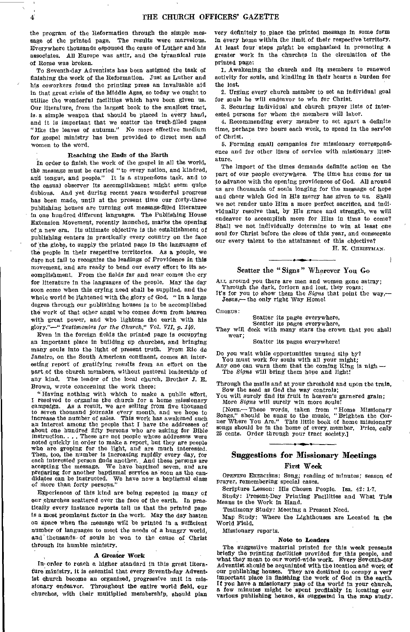the program of the Reformation through the simple message of the printed page. The results were marvelous. Everywhere thousands espoused the cause of Luther and his associates. All Europe was astir, and the tyrannical rule of Rome was broken.

To Seventh-day Adventists has been assigned the task of finishing the work of the Reformation. Just as Luther and his coworkers found the printing press an invaluable aid in that great crisis of the Middle Ages, so today we ought to utilize the wonderful facilities which have been given us. Our literature, from the largest book to the smallest tract, is a simple weapon that should be placed in every hand. and it is important that we scatter the truth-filled pages "like the leaves of autumn." No more effective medium for gospel ministry has been provided to direct men and women to the word.

## Reaching the Ends of the Earth

In order to finish the work of the gospel in all the world, the message must be carried " to every nation, and kindred, and tongue, and people." It is a stupendous task, and to the casual observer its accomplishment might seem quite dubious. And yet during recent years wonderful progress has been made, until at the present time our forty-three publishing houses are turning out message-filled literature In one hundred different languages. The Publishing House Extension Movement, recently launched, marks the opening of a new era. Its ultimate objective is the establishment of publishing centers in practically every country on the face of the globe, to supply the printed page in the languages of the people in their respective territories. As a people, we dare not fail to recognize the leadings of Providence in this movement, and are ready to bend our every effort to its accomplishment. From the fields far and near comes the cry for literature in the languages of the people. May the day soon come when this crying need shall be supplied, and the whole world be lightened with the glory of God. " In a large degree through our publishing houses is to be accomplished the work of that other angel who comes down from heaven with great power, and Who lightens the earth with his glory."—" *Testimonies for the Church," Vol. VII, p. 140.* 

Even in the foreign fields the printed page is occupying an important place in building up churches, and bringing many souls into the light of present truth. From Rio de Janeiro, on the South American continent, comes an interesting report of gratifying results from an effort on the part of the church members, without pastoral leadership of any kind. The leader of the local church, Brother J. E. Brown, wrote concerning the work there:

"-Having nothing with which to make a public effort, I resolved to organize the church for a home missionary campaign. As a result, we are selling from five thousand As a result, we are selling from five thousand to seven thousand journals every month, and we hope to increase the number of sales. This work has awakened such an interest among the people that I have the addresses of about one hundred fifty persons who are asking for Bible instruction.... These are not people whose addresses were noted quickly in order to make a report, but they are people who are groping for the light, and are much interested. Then, too, the number is increasing rapidly every day, for each interested person finds another. And these persons are accepting the message. We have baptized seven, and are preparing for another baptismal service as soon as the candidates can be instructed. We have now a baptismal class of more than forty persons."

Experiences of this kind are being repeated in many of our churches scattered over the face of the earth. In praetically every instance reports tell us that the printed page is a most prominent factor in the work. May the day hasten on apace when the message will be printed in a sufficient number of languages to meet the needs of a hungry world, and' thousands- of souls be won to the cause of Christ through its humble ministry.

#### A Greater Work

In. order to reach a higher standard in this great literature ministry, it is essential that every Seventh-day Adventist church become an organized, progressive unit in missionary endeavor. Throughout the entire world field, our churches, with their multiplied membership, should plan

very definitely to place the printed message in some form in every home within the limit Of their respective territory. At least four steps might be emphasized in promoting a greater work in the churches in the circulation of the printed page:

1. Awakening the church and its members to renewed activity for souls, and kindling in their hearts a burden for the lost.

2, Urging every church member to set an individual goal for souls he will endeavor to win for Christ.

3. Securing individual and church prayer lists of interested persons for whom the members will labor.

4. Recommending every member to set apart a definite time, perhaps two hours each week, to spend in the service of Christ.

5. Forming small companies for missionary correspondence and for other lines of service with missionary literature.

The import of the times demands definite action on the part of our people everywhere. The time has come for us to advance with the opening providences of God. All around us are thousands of souls longing for the message of hope and cheer which God in His mercy has given to us. Shall we not render unto Him a more perfect sacrifice, and individually resolve that, by His grace and strength, we will endeavor to accomplish more for Him in time to come? Shall we not individually determine to win at least one soul for Christ before the close of this year, and consecrate our every talent to the attainment of this objective?

H. K. CHRISTMAN.

 $\mathbf{I}$ 

## Scatter the "Signs" Wherever You Go

ALL around you there are men and women gone astray; Through the dark, forlorn and lost, they roam;<br>It's for you to show them the *Signs* that point the way,—

Jesus,— the only right Way Home!

CHORUS:

Scatter its pages everywhere,

Scatter its pages everywhere,

They will deck with many stars the crown that you shall wear;

Scatter its pages everywhere!

Do you wait while opportunities unused slip by?

You must work for souls with all your might;

Any one can warn them that the coming King is nigh  $-$ The *Signs* will bring them hope and light!

Through the mails and at your threshold and upon the train, Sow the seed as God the way controls;

You will surely find its fruit in heaven's garnered grain; More *Signs* will surely win more souls!

[Nora- These words, taken from "Home Missionary Songs," should be sung to the music, "Brighten the Corner Where You Are." This little book of home missionary songs should be in the home of every, member. Price, only 25 cents. Order through your tract society.]

## Suggestions for Missionary Meetings First Week

OPENING EXERCISES: Song; reading of minutes; season of prayer, remembering special cases.

Scripture Lesson: His Chosen People. Isa. 42: 1-7.

Study: Present-Day Printing Facilities and What This Means to the Work in Hand.

Testimony Study: Meeting a Present Need.

Map Study: Where the Lighthouses are Located in the World Field.

Missionary reports.

### Note to Leaders

The suggestive material printed for this week presents briefly the printing facilities provided for this people, and what they mean to our world-wide work. Every Seventh-day Adventist should be acquainted with the location and work of our publishing houses. They are destined to occupy a very important place in finishing the work of God in the earth. If you have a missionary map of the world in your church, a few minutes might be spent profitably in locating our various publishing houses, as suggested in the map study.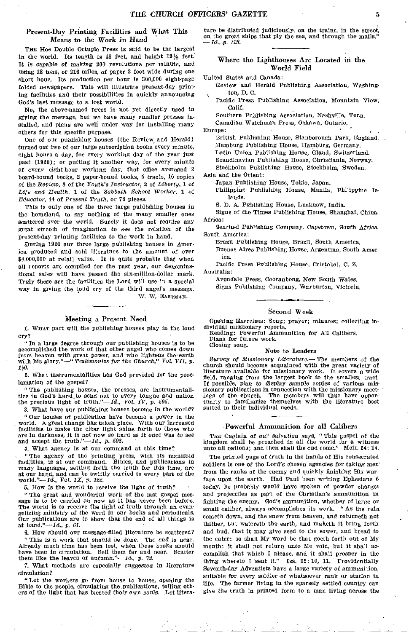## Present-Day Printing Facilities and What This Means to the Work *in* Hand

THE Hoe Double Octuple Press is said to be the largest in the world. Its length is 48 feet, and height 19% feet. It *is* capable of *making* 300 revolutions per minute, and using 18 tons, or 216 miles, of paper 3 feet wide during one short hour. Its production per hour is 300,000 eight-page folded newspapers. This will illustrate present-day printing facilities and their possibilities in quickly announcing God's last message to a lost world.

No, the above-named press is not yet directly used in giving the message, but we have many smaller presses installed, and plans are well under way for installing many others for this specific purpose.

One of our publishing houses (the Review, and Herald) turned out two of our large subscription books every minute, eight hours a day, for every working day of the year just past (1920); or putting it another way, for every minute *of every* eight-hour working day, that office averaged 2 board-bound books, 2 paper-bound books, 5 tracts, 10 copies of the *Review,* 8 of the *Youth's Instructor,* 2 of *Liberty, 1* of *Life and Health,* 1 of the *Sabbath School Worker,* 1 of *Educator,* 44 of *Present Truth,* or 76 pieces.

This is only one of the three large publishing houses in the homeland, to say nothing of the many smaller ones scattered over the world. Surely it does not require any great stretch of imagination to see the relation of the present-day printing facilities to the work in hand.

During 1920 our three large publishing houses in America produced and sold literature to the amount of *over*  \$4,000,000 at retail value. It is quite probable that when all reports are compiled for the past year, our denominational sales will have passed the six-million-dollar mark. Truly these are the facilities the Lord will use in a special way in giving the loud cry of the third angel's message. W. W. EASTMAN.

#### Meeting a Present Need

1. WHAT part will the publishing houses play in the loud cry?

" In a large degree through our publishing houses is to be accomplished the work of that other angel who comes down from heaven with great power, and who *lightens* the' earth with his glory."—" *Testimonies for the Church," Vol. VII, p. 140.* 

2. What instrumentalities has God provided for the proclamation of the gospel?

"The publishing houses, the presses, are instrumentalities in God's hand to send out to every tongue and nation the precious light of truth."—Id., *Vol. IV, p. 595.* 

3. What have our publishing houses become in the world?

" Our houses of publication have become a power in the world. A great change has taken place. With our increased facilities to make the clear light shine forth to those who are in darkness, it is not now so hard as ft once was to see and accept the truth."— *Id., p. 593.* 

4. What agency is at our command at this time?

" The agency of the printing press, with its manifold facilities, is at our command. Bibles, and publications in many languages, setting forth the truth for this time, are at our hand, and can be swiftly carried to every part of the world."—Id., Vol. *IX, p. 122.* 

5. How is the world to receive the *light of truth?* 

"The great and wonderful work of the last gospel message is to be carried on now as it has never been before.<br>The world is to receive the light of truth through an evangelizing ministry of the word *in our* books and periodicals. Our publications are to show that the end of all things is at hand."—Id., *p. 61.* 

6. How should our message-filled literature be scattered? "This is a work that should be done. The end is near.

"This is a work that should be done. Already much time has been lost, when these books should have been in circulation. Sell them far and near. Scatter them like the leaves of autumn."— $Id.$ , p. 72.

7. What methods are especially suggested In literature circulation?

"Let the workers go from house to house opening the Bible to the people, circulating the publications, telling ethers of the light that has blessed their own souls. Let literature be distributed judiciously, on the trains, in the street, on the great ships that ply the sea, and through the mails." *— Id., y. 123.* 

## Where the Lighthouses Are Located in the World Field

United States and Canada:

- Review and Herald Publishing Association, Washington, D. C.
- Pacific Press Publishing Association, Mountain View, Calif.

Southern Publishing Association, Nashville, Tenn.

Canadian Watchman Press, Oshawa, Ontario.

Europe:

British Publishing House, Stanborough Park, England. Hamburg Publishing House, Hamburg, Germany. Latin Union Publishing House, Gland, Switzerland. Scandinavian Publishing House, Christiania, Norway. Stodkholm Publishing House, Stockholm, Sweden.

Asia and the Orient:

Japan Publishing House, Tokio, Japan.

Philippine Publishing House, Manila, Philippine Islands.

S. I), A. Publishing House, Lucknow, India.

Signs of the Times Publishing House, Shanghai, China. Africa:

Sentinel Publishing Company, Capetown, South Africa. South America:

Brazil Publishing House, Brazil, South America. Buenos Aires Publishing House, Argentina, South America.

Pacific Press Publishing House, Cristobal, C. Z. Australia:

Avondale Press, Cooranbong, New *South* Wales. Signs Publishing Company, Warburton, Victoria.

## Second Week

Opening Exercises: Song; prayer; minutes; collecting individual missionary reports.

Reading: Powerful Ammunition for All Calibers, Plans for future work.

Closing song.

#### Note to Leaders

*Survey of Missionary Literature.—* The members of the church should become acquainted with the great variety of literature available for missionary work. It covers a wide field, ranging from the largest book to the smallest tract. If possible, *plan* to display sample copies of various missionary publications in connection with the missionary meet-<br>ings of the church. The members will thus have opportunity to familiarize themselves with the literature best suited to their individual needs.

#### Powerful Ammunition for all Calibers

THE *Captain of* our salvation says, "This gospel of the kingdom shall be preached in all the world for a witness unto all nations; and then shall the end come." Matt. 24: 14.

The printed page of truth in the hands of His consecrated soldiers is one of the Lord's chosen agencies for *taking* men' from the ranks of the enemy and quickly finishing His warfare upon the earth. Had Paul been writing Ephesians 6 today, he probably would have spoken of powder charges and projectiles as part of the Christian's ammunition in fighting the enemy. God's ammunition, whether of large or small caliber, always accomplishes its work. "As the rain cometh down, and the snow from heaven, and returneth not thither, but watereth the earth, and maketh it bring forth and bud, that it may give seed to the sower, and bread to the eater: so shall My word be that goeth forth out of My mouth: it shall not return unto Me void, but it shall accomplish that which I please, and it shall prosper in the thing whereto I sent it." Isa. 55: 10, 11. Providentially Seventh-day Adventists have a *large variety* of ammunition, suitable for every soldier of whatsoever rank or station in life. The farmer living in the sparsely settled country can give the truth in printed form to a man living across the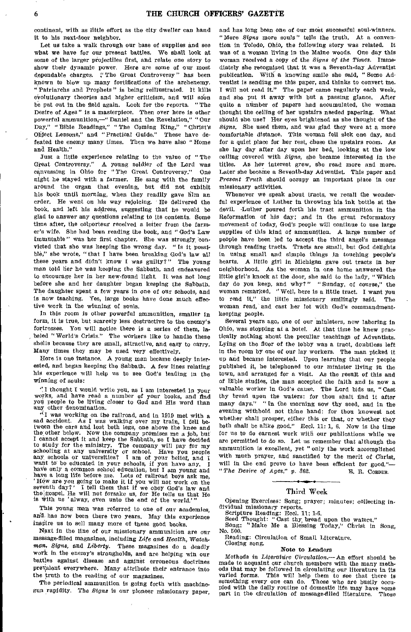continent, with as little effort as the city dweller can hand it to his next-door neighbor.

Let us take a walk through our base of supplies and see what we have for our present battles. We shall look at some of the larger pfojectiles first, and relate one story to show their dynamic power. Here are some of our most dependable charges. "The Great Controversy" has been known to blow up many fortifications of the archenemy, "Patriarchs and Prophets" is being reillustrated. It kills evolutionary theories and higher criticism, and will soon be put out in the field again. Look for the reports. "The Desire of Ages" is a masterpiece. Then over here is other powerful ammunition,—" Daniel and the Revelation," "Our Day," "Bible Readings," "The Coming King," "Christ's Object Lessons," and "Practical Guide." These have defeated the enemy many times. Then we have also "Home and Health."

Just a little experience relating to the value of "The Great Controversy." A young soldier of the Lord was canvassing in Ohio for "The Great Controversy." One night he stayed with a farmer. He sang with the family around the organ that evening, but did not exhibit his book until morning, when they readily gave him an order. He went on his way rejoicing. He delivered the book, and left his address, suggesting that he would be glad to answer any questions relating to its contents. Some time after, the colporteur received a letter from the farmer's wife. She had been reading the book, and " God's Law Immutable" was her first chapter. She was strongly convicted that she was keeping the wrong day. " Is it possible," she wrote, "that I have been breaking God's law all these years and didn't know I was guilty?" The young man told her he was keeping the Sabbath, and endeavored to encourage her in her new-found light. It was not long before she and her daughter began keeping the Sabbath, The daughter spent a few years in one of our schools, and is now teaching. Yes, large books have done much effective work in the winning of souls.

In this room is other powerful ammunition, smaller in form, it is true, but scarcely less destructive to the enemy's fortresses. You will notice there is a series of them, la beled "World's Crisis." The workers like to handle these shelis because they are small, attractive, and easy to carry. Many times they may be used very effectively.

Here is one instance. A young man became deeply interested, and began keeping the Sabbath. A few lines relating his experience will help us to see God's leading in the winning of souls:

" I thought I would write you, as I am interested in your works, and have read a number of your books, and find You people to be living closer to God and His word than any other denomination.

 $'$ I was working on the railroad, and in 1919 met with a sad accident. As I was walking over my train, I fell between the cars and lost both legs, one above the knee and the other below. Now the company promises me a job, but I cannot accept it and keep the Sabbath, so I have decided to Study for the ministry. The company will pay for my schooling at any university or school. Have you people any, schools or universities? I am of your belief, and I want to be educated in your schools, if you have any. have only a common school education, but I am young and have a long life before me. Lots of railroad boys ask me, 'How are you going to make it if you will not work on the seventh day?' I tell them that if we obey God's law and the gospel, He will not forsake us, for He tells us that He is with us 'alway, even unto the end of the wor

This young man was referred to one of our academies, and has now been there two years. May this experience inspire us to sell many more of these good books.

Next in the line of our missionary ammunition are our message-filled magazines, including *Life and Health,* Watchman, *Signs,* and *Liberty.* These magazines do a deadly work in the enemy's strongholds, and are helping win our battles against disease and against erroneous doctrines prevalent everywhere. Many attribute their entrance into the truth to the reading of our magazines.

The periodical ammunition is going forth with machinegun rapidity. The *Signs* is our pioneer missionary paper, and has long been one of our most successful soul-winners. "More *Signs* more souls" tells the truth. At a convention in Toledo, Ohio, the following story was related. It was of a woman living in the Maine woods. One day this woman received a copy of the *Signs of the Times.* Immediately she recognized that It was a Seventh-day Adventist publication. With a knowing smile she said, "Some Adventist is sending me this paper, and thinks to convert me. I will not read it." The paper came regularly each week, and she put it away with but a passing glance. After quite a number of papers had accumulated, the woman thought the ceiling of her upstairs needed papering. What should she use? Her eyes brightened as she thought of the *Signs.* She used them, and was glad they were at a more comfortable distance. This woman fell sick one day, and for a quiet place for her rest, chose the upstairs room. As she lay day after day upon her bed, looking at the low ceiling covered with *Signs,* she became interested in the titles. As her interest grew, she read more and more. Later she became a Seventh-day Adventist. This paper and *Present Truth* should occupy an important place in our missionary activities.

Whenever we speak about tracts, we recall the wonderful experience of Luther in throwing his ink bottle at the devil. -Luther poured forth his tract ammunition In the Reformation of his day; and in the great reformatory movement of today, God's people will continue to use large supplies of this kind of ammunition. A large number of people have been led to accept the third angel's message through reading tracts. Tracts are small, but God delights in using small and simple things In touching people's hearts. A little girl in Michigan gave out tracts in her neighborhood. As the woman in one home answered the little girl's knock at the door, she said to the lady, " Which day do you keep, and why?" "Sunday, of course," the woman remarked. " Well, here is a little tract. I want you to read it," the little missionary smilingly said. The woman read, and cast her lot with God's commandmentkeeping people.

Several years ago, one of our ministers, now laboring In Ohio, was stopping at a hotel. At that time he knew practically nothing about the peculiar teachings of Adventists. Lying on the floor of the lobby was a tract, doubtless left in the room by one of our lay workers. The man picked it up and became interested. Upon learning that our people published it, he telephoned to our minister living in the town, and arranged for a visit. As the result of this and of Bible studies, the man accepted the faith and is now a valuable worker in God's cause. The Lord bids us, "Cast thy bread upon the waters: for thou shalt find it after many days." " In the morning sow thy seed, and in the evening withhold not thine hand: for thou knowest not whether shall prosper, either this or that, or whether they both shall be alike good." Eccl. 11: 1, 6. Now is the time for us to do earnest work with our publications while we are permitted to do so. Let us remember that although the ammunition is excellent, yet "only the work accomplished with much prayer, and sanctified by the merit of Christ, will in the end prove to have been efficient for good."-" The Desire of Ages," p. 362. E. R. CORDER.

#### Third Week

Opening Exercises: Song; prayer; minutes; collecting individual missionary reports.

Scripture Reading: Eccl. 11: 1-6.<br>Seed Thought: "Cast thy bread upon the waters."

Song: "Make Me a Blessing Today," Christ in Song, No. 500.

Reading: Circulation of Small Literature. Closing song.

### Note to Leaders

Methods in *Literature Circulation.—* An effort should be made to acquaint our church members with the many methods that may be followed in circulating our literature in its varied forms. This will help them to see that there is something every one can do. Those who are busily occusomething every one can do. Those who are busily occupied with the daily routine of domestic life may have some part in the circulation of message-filled literature. Those part in the circulation of message-filled literature.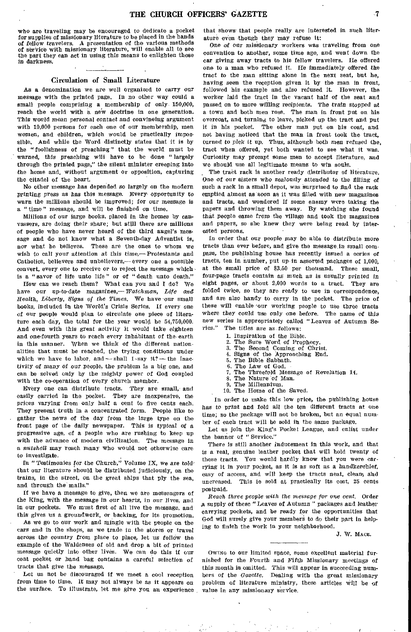who are traveling may be encouraged to dedicate a pocket for supplies of missionary literature to be placed in the hands *of* fellow *travelers.* A presentation of the various methods of service with missionary literature, will enable all to see the part they can act in using this means to enlighten those *in* darkness.

#### Circulation of Small Literature

As a denomination we are well organized to carry our message with the printed page. In no other way could a small people comprising a membership of only 150,000, reach the world with a new doctrine in one generation. This would mean personal contact and convineing argument with 10,000 persons for each one of our membership, men women, and children, which would be practically impossible, And while the Word distinctly states that it is by the "foolishness of preaching" that the world must be warned, this preaching will have to be done " largely through the printed page," the silent minister creeping into the home and, without argument or opposition, capturing the citadel of the heart.

No other message has depended so largely on the modern printing press as has this message. Every opportunity to warn the millions should be improved; for our message is a "time" message, and will be finished on time.

Millions of our large books, placed in the homes by canvassers, are doing their share; but still there are millions of people who have never heard of the third angel's message and do not know what a Seventh-day Adventist is, nor what he believes. These are the ones to whom we wish to call your attention at this time,—Protestants and Catholics, believers and unbelievers,—every one a possible convert, every one to receive or to reject the message whichis a " savor of life unto life " or of " death unto death."

How can we reach them? What can you and I do? We have our up-to-date *magazines,—Watchman, Life and Health, Liberty, Signs of the Times.* We have -our small books, included in the World's Crisis Series. If every one of our people would plan to circulate one piece of literature each day, the total for the year would be 54,750,000. And even with this great *activity* it would take eighteen and one-fourth years to reach every inhabitant of the earth in this manner. When we think of the different nationalities that must be reached, the trying conditions under which we have to labor, and - shall I. say it? - the inactivity *of many of* our people, the problem is a big one, and can be solved only by the mighty power of God coupled with the co-operation of every church member.

Every one can distribute tracts. They are small, and easily carried in the pocket. They are inexpensive, the prices varying from only half a cent to five cents each. They present truth in a concentrated form. People like to gather the news of the day from the large type on the front page of the daily newspaper. This is typical of a progressive age, of a people who are rushing to keep up with the advance of modern civilization. The message in a *nutshell* may reach many who would not otherwise care to investigate.

In "Testimonies for the *Church,"* Volume IX, we are *told'*  that our literature should be distributed judiciously, on the trains, in the street, on the great ships that ply the sea, and through the mails."

If we have a message to give, then we are messengers of the King, with *the message in our* hearts, in our lives, and in our pockets. We must first of all live the message, and this gives us a groundwork, or backing, for its promotion.

As we go to our work and mingle with the people on the cars and in the shops, as we trade in the stores or travel across the country from place to place, let us follow the example of the Waldenses of old and drop a bit of printed message quietly into other lives. We can do this if our coat pocket or hand bag contains a careful selection of tracts that give the message.

Let us not be discouraged if we meet a cool reception from time to time. It may not always be as it appears on the surface. To illustrate, let me give you an experience that shows' that people really are interested in such literature even though they may refuse it:

One *of* our missionary workers was traveling from one convention to another, some time ago, and went down the car giving away tracts to his fellow travelers. He offered one to a man who refused it. He immediately offered the tract to the man sitting alone in the next seat, but he, having seen the reception given it by the man in front, followed his example and also refused it. However, the worker laid the tract in the vacant half of the seat and passed on to more willing recipients. The train stopped at a town and both men rose. The man in front put on his overcoat, and turning to leave, picked up the tract and put it in his pocket. The other man put on his coat, and not having noticed that the man in front took the tract, turned to pick it up. Thus, although both men refused the, tract when offered, yet both wanted to see what it was. Curiosity may prompt some men to accept literature, and we should use all legitimate means to win souls.

The tract rack is another ready distributor of literature, One of our *sisters* who zealously attended to the filling of such a rack in a small depot, was surprised to find the rack emptied almost as soon as it was filled with new magazines and tracts, and wondered if some enemy were taking the papers and throwing them away. By watching she found that people came from the village and took the magazines and papers, so she knew they were being read by interested persons.

In order that our people may be able to distribute more tracts than ever before, and give the message, in small compass, the publishing house has recently issued a eeries of tracts, ten in number, put up-in assorted packages of 1,000, at the small price of \$3.50 per thousand. These small, four-page tracts contain as much as is usually printed *in*  eight pages, or about 2,000 words to a tract. They are folded twice, so they are ready to use in correspondence, and are also handy to carry in the pocket. The price of these will enable 'our working people to use three tracts where they could use only one before. The name *of* this new series is appropriately called "Leaves of Autumn Series." The titles are as follows. The titles are as follows:

- 1. Inspiration of the Bible.<br>2. The Sure Word of Prop.
- 2. The Sure Word of Prophecy,<br>3. The Second Coming of Chri
- 3. The Second Coming of Christ.<br>4. Signs of the Approaching End.
- 4. Signs of the Approaching End.
- 5. The Bible Sabbath.<br>6. The Law of God.
- 6. The Law of God.<br>7. The Threefold Me 7. The Threefold Message of Revelation 14.<br>8. The Nature of Man.
- The Nature of Man.
- The Millennium.
- 10. The Home of the Saved.

In order to make this low price, the publishing house has to print and fold all the ten different tracts at one time; so the package will not be broken, but an equal number of each tract will be sold in the same package.

Let us join the King's Pocket League, and enlist under the banner of "Service."

There is still another inducement in this work, and that is a real, genuine leather pocket that will hold twenty of these tracts. You would hardly know that you were carrying it in your pocket, as it is as soft as a handkerchief, easy of access, and will keep the tracts neat, clean, and uncreased. This ie sold at practically its cost, 25 cents postpaid.

Reach *three people with the* message *for* one *cent,* Order a supply of these "Leaves of Autumn " packages and leather carrying pockets, and be ready for the opportunities that God will surely give your members to do their part in helping to finish the work in your neighborhood.

J. W. MACE.

Owtwe to our limited space, some excellent material furnished for the Fourth and Fifth *Missionary* meetings of this month is omitted. This will appear in succeeding numbers of the *Gazette.* Dealing with the great missionary problem of literature ministry, these articles will be of value in any missionary service.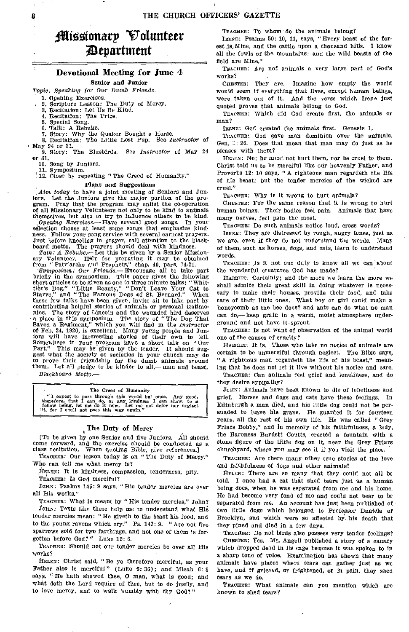# Olizoionarp Volunteer ;Department

## Devotional Meeting for June 4

#### Senior and Junior

Topic: *Speaking for Our Dumb Friends.* 

1. Opening Exercises.

- 2. Scripture Lesson: The Duty of Mercy.
- 3. Recitation: Let Us Be Kind.
- 4. Recitation: The Prize.
- 5. Special Song.
- 
- 6, Talk: A Rebuke. 7. Story: Why the Quaker Bought a Horse. 8. Recitation: The Little Lost Pup. See *Instructor* of

• May 24 or 31.

9. Story: The Bluebirds. See *Instructor* of May 24 or 31.

10. Song by Juniors.

11. Symposium.

12. Close by repeating "The Creed of Humanity."

#### Plans and Suggestions

*Aim today* to have a joint meeting of Seniors and Juniors. Let the Juniors give the major portion of the program. Pray that the program may enlist the co-operation of all Missionary Volunteers not only to be kind to animals themselves, but also to try to influence others to be kind.

*Opening Exercises.—* Have several good songs. In your selection choose at least some songs that emphasize kindness. Follow your song service with several earnest prayers. Just before kneeling in prayer, call attention to the black-<br>board motto. The prayers should deal with kindness. The prayers should deal with kindness.

*Talk: A Rebuke.—* Let this be given by a Senior Missionary Volunteer. Help for preparing it may be obtained<br>from "Patriarchs and Prophets," chap. 40, pars. 14-21.<br>*Symposium: Our Friends.*— Encourage all to take part<br>briefly in the symposium. This paper gives the following

short articles to be given as one to three minute talks: "Whit-tier's Dog," "Little Beauty," "Don't Leave Your Cat to Starve," and " The Famous Dogs of St. Bernard." When these few talks have been given, invite all to take part by contributing helpful stories of animals or personal testimonies. The story of Lincoln and the wounded bird deserves a place in this symposium. The story of "The Dog That Saved a Regiment," which you will find in the *Instructor*  of Feb. 24, 1920, is excellent. Many young people and Jun-iors will have interesting stories of their own to tell. Somewhere in your program have a short talk on "Our Part." This may be given by the leader. It should suggest what the society or societies in your church may do to prove their friendship for the dumb animals around them. Let all pledge to be kinder to all,— man and beast. *Blackboard Motto.—* 

#### • The Creed of Humanity

"I expect to pass through this world but once. Any good, therefore, that I can do, or any kindness I can show, to a fellow being, let me do it now. Let me of defer nor neglect it, for I shall not pass this way again."

# The Duty of Mercy

[To be given by one Senior and five Juniors. All should come forward, and the exercise should be conducted as a class recitation. When quoting Bible, give references.] TEACHER: Our lesson today is on "The Duty of Mercy."

Who can tell me what mercy is?

HELEN: It is kindness, compassion, tenderness, pity.

TEACHER: Is God merciful?

JOHN: Psalms 145: 9 says, "His tender mercies are over all His works."

TEACHER: What is meant by "His tender mercies," John? JOHN: Texts like these help me to understand what His tender mercies mean: "He giveth to the beast his food, and to the young ravens which cry." Ps. 147: 9, "Are not five sparrows sold for two farthings, and not one of them is forgotten before God?" Luke 12: 6.

TEACHER: Should not our tender mercies be over all His works?

HELEN: Christ said, "Be ye therefore merciful, as your Father also is merciful" (Luke 6: 36); and Micah 6: 8 says, "He hath showed thee, 0 man, what is good; and what doth the Lord require of thee, but to do justly, and to love mercy, and to walk humbly with thy God?"

TEACHER: To whom do the animals belong?

IRENE: Psalms 50: 10, 11, says, "Every beast of the forest is Mine, and the cattle upon a thousand hills. I know all the fowls of the mountains: and the wild beasts of the field are Mine."

TEACHER: Are not animals a very large part of God's works?

CHESTER: They are. Imagine how empty the world would seem if everything that lives, except human beings, were taken out of it. And the verse which Irene just quoted proves that animals belong to God.

TEACHER: Which did God create first, the animals or man?

IRENE: God created the animals first. Genesis 1.

TEACHER: God gave man dominion over the animals. Gen. 1: 26, Does that mean that man may do just as he pleases with them?

HELEN: No; he must not hurt them, nor be cruel to them, Christ told us to be merciful like our heavenly Father, and Proverbs 12: 10 says, "A righteous man regardeth the life of his beast: but the tender mercies of the wicked are cruel."

TEACHER: Why is it wrong to hurt animals?

CHESTER: Fdr the same reason that it is wrong to hurt human beings. Their bodies feel pain. Animals that have many nerves, feel pain the most.

TEACHER: Do such animals notice loud, cross words?

IRENE: They are distressed by rough, angry tones, just as we are, even if they do not understand the words. Many of them, such as horses, dogs, and cats, learn to understand words.

TEACHER: Is it not our duty to know all we can"about the wonderful creatures God has made?

HARRIET: Certainly; and the more we learn the more we shall admire their great skill in doing whatever is necessary to make their houses, provide their food, and take care of their little ones. What boy or girl could make a honeycomb as the bee does? and ants can do what no man can do,— keep grain in a warm, moist atmosphere underground and not have it sprout.

TEACHER: Is not want of observation of the animal world one of the causes of cruelty?

HARRIET: It is. Those who take no notice of animals are certain to be unmerciful through neglect. The Bible says, "A righteous man regardeth the life of his beast," meaning that he does not let it live without his notice and care.

TEACHER: Can animals feel grief and loneliness, and do they desire sympathy?

Jonx: Animals have been known to die of loneliness and grief. Horses and dogs and cats have these feelings. In Edinburgh a man died, and his little dog could not be persuaded to leave bis grave. He guarded it for fourteen Years, all the rest of his own life. He was called "Grey Friars Bobby," and in memory of his faithfulness, a lady, the Baroness Burdett Coutts, erected a fountain with a stone figure of the little dog on it, near the Grey Friars churchyard, where you may see it if you visit the place.

TEACHER: Are there many other true stories of the love and faithfulness of dogs and other animals?

HELEN: There are so many that they could not all be told. I once had a cat that shed tears just as a human being does, when he was separated from me and his home. He had become very fond of me and could not bear to be separated from me. An account has just been published of two little dogs which belonged to Professor Daniels of Brooklyn, and which were so affected by, his death that they pined and died in a few days.

TEACHER: Do not birds also possess very tender feelings? CHESTER: Yes. Mr. Angell published a story of a canary which dropped dead in its cage because it was spoken to in a sharp tone of voice. Examination has shown that many animals have places where tears can gather just as we have, and if grieved, or frightened, or in pain, they shed tears as we do.

TEACHER: What animals can you mention which are known to shed tears?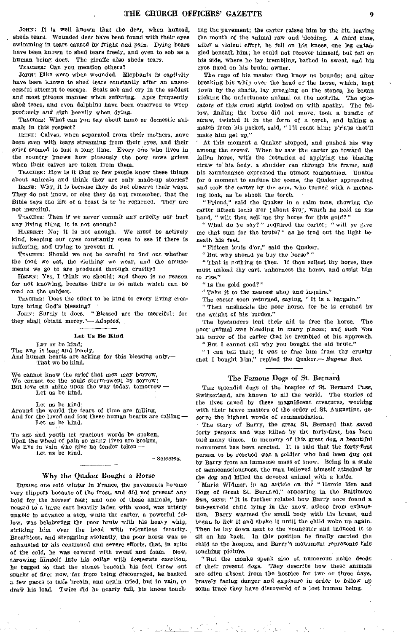JOHN: It is well known that the deer, when hunted, sheds tears. Wounded deer have been found with their eyes swimming in tears caused by fright and *pain.* Dying bears have been known to shed tears freely, and even to sob as a human being does. The giraffe also sheds tears.

TEACHER: Can you mention others?

Jens: Elks weep when wounded. Elephants *in* captivity have been known to shed tears constantly after an unsuccessful attempt to escape. Seals sob and cry in the saddest and most piteous manner when suffering. Apes frequently shed tears, and even dolphins have been observed to weep profusely and sigh heavily when dying.

TEACHER: What can you say about tame or domestic animals in this respect?

IRENE: Calves, when separated from their mothers, have been seen with tears streaming from their eyes, and their grief seemed to last a long time. Every one who lives in the country knows how piteously the poor cows grieve when their calves are taken from them.

TEACHER: How is it that so few people know these things about animals and think they are only made-up stories?

IRENE: Why, it Is because they do not observe their ways. They do not know, or else they do not remember, that the Bible says the life of a beast is to be regarded. They are not merciful.

TEACHER: Then if we never commit any cruelty nor hurt any living thing, it is not enough?

HARRIET: No; it is not enough. We must be actively kind, keeping our eyes constantly open to see if there is suffering, and trying to prevent it.

TEACHER: Should we not be careful to find out whether the food we eat, the clothing we wear, and the amusements we go to are produced through cruelty?

HELEN: Yes, I think we should; and there is no reason for not knowing, because there is so much which can-be read on the subject.

TEACHER: Does the effort to be kind to every living creature bring God's blessing?

JOHN: Surely it does. "Blessed are the merciful: for they shall obtain mercy."-Adapted.

#### Let Us Be Hind

LET us be kind:

The way is long and lonely,

And human hearts are asking for this blessing only,-That we be kind.

We cannot know the grief that men *may* borrow, We cannot see the souls storm-swept by sorrow; But love can shine upon the way today, tomorrow — Let us be kind.

Let us be kind;

Around the world the tears of time are falling, And for the loved and lost these human hearts are calling-Let us be kind.

To age and youth let gracious words be spoken, Upon the wheel of pain so many lives are broken, We live in vain who give no tender token—

Let us be kind.

— Selected.

te e ne <u>la 19</u>

### Why the Quaker Bought a Horse

DURING one cold winter in France, the pavements became very slippery because of the frost, and did not present any hold for the horses' feet; and one of these animals, harnessed to a large cart heavily laden with wood, was utterly unable to advance a step, while the carter, a powerful fellow, was belaboring the poor brute with his heavy whip, striking him over the head with relentless ferocity. Breathless, and struggling violently, the poor horse was so exhausted by his continued and severe efforts, that, In spite of the cold, he was covered with sweat and foam. Now, throwing himself *into* his collar with desperate exertion, he tugged so that the stones beneath his feet threw out sparks of fire; now, *far from* being discouraged, he backed a few paces to take breath, and again tried, but in vain, to draw his load. Twice did he nearly fall, his knees touch-

ing the pavement; the carter raised him by the bit, leaving the mouth of the animal raw and bleeding. A third time, after a violent effort, he fell on his knees, one leg entangled beneath him; he could not recover himself, but fell on his side, where he lay trembling, bathed in sweat, and his eyes fixed on his brutal owner.

The rage of his master then knew no bounds; and after breaking his whip over the head of the horse, which, kept down by the shafts, lay groaning on the stones, he began kicking the unfortunate animal on the nostrils. The spectators of this cruel sight looked on with apathy. The fellow, finding the horse did not move, took a bundle of straw, twisted it in the form of a torch, and taking a match from his pocket, said, " I'll roast him; p'r'aps that'll make him get up."

At this moment a Quaker stopped, and pushed his way among the crowd. When he saw the carter go toward the fallen horse, with the intention of applying the blazing straw to' his body, a shudder ran through his frame, and his countenance expressed the utmost compassion. Unable for a moment to endure the scene, the Quaker approached and took the carter by the arm, who turned with a menacing look, as he shook the torch.

"Friend," said the Quaker in a calm tone, showing the carter fifteen louis d'or [about \$701, which he held in his hand, "wilt thou sell me thy horse for this gold?"

"What do ye say?" inquired the carter; "will ye *give*  me that sum for the brute?" as he trod out the light beneath his feet.

"Fifteen louis d'or," said the Quaker.

"But why should ye buy the horse?"

" That is nothing to thee. If thou sellest thy horse, thee must unload thy cart, unharness the horse, and assist him to *rise."* 

*"* Is the gold good?"

"Take it to the nearest shop and- inquire."

The carter soon returned, saying, " It is a bargain."

Then unshackle the poor horse, for he is crushed by the weight of his burden."

The bystanders lent their aid to free the horse. The poor-animal was bleeding in many places; and such was his terror of the carter that he trembled at his approach. " But I cannot tell why you bought the old brute."

" I *can* tell thee; it was *to* free him from thy cruelty that I bought him," replied the Quaker.-- Eugene Sue.

## The Famous Dogs of St. Bernard

THE splendid dogs of the hospice of St. Bernard Pass, Switzerland, are known to all the world. The stories of the lives saved by these magnificent creatures, working with their brave masters of the order of. St. Augustine, deserve the highest words of commendation.

The story of Barry, the great St. Bernard that saved forty persons and was killed- by the forty-first, has been told many times. In memory of this great dog, a beautiful monument has been erected. It is said that the forty-first person to be rescued was a soldier who had been *dug* out by Barry from an immense mass of snow. Being in a state of semiconsciousness, the man believed himself attacked by the dog and killed the devoted animal with a knife.

Maria Widmer, in an article on the "Heroic Men and Dogs *of* Great St. Bernard," appearing in the Baltimore *Sun,* says: " It is further related how Barry once found a ten-year-old child lying in the snow, asleep from exhaustion. Barry warmed the small body with his breast, and began to lick it and shake it until the child woke up again. Then he lay down next to the youngster and induced it to sit on his back. In this position he finally carried the child to the hospice, and Barry's monument represents this touching picture.

"But the monks speak also of numerous noble deeds of their present dogs. They describe how these animals are often absent from the hospice for two or three days, bravely facing danger and exposure in order to follow up some trace they have discovered of a lost human being.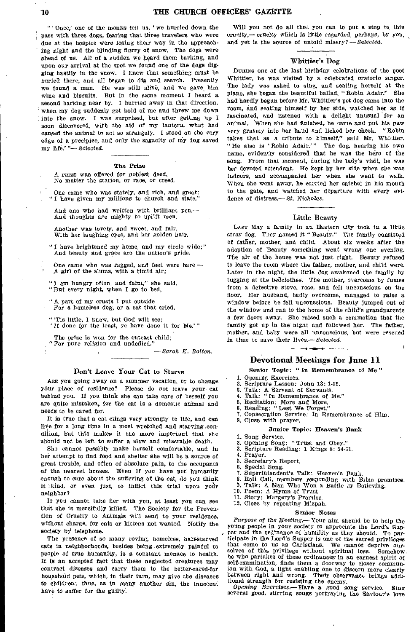" ' Once,' one of the monks tell us, ' we hurried down the pass with three dogs, fearing that three travelers who were due at the hospice were losing their way in the approaching night and the blinding flurry of snow. The dogs were ahead of us. All of a sudden we beard them barking, and upon our arrival at the spot we found one of the dogs digging hastily in the snow. I knew that something must be buried there, and all began to dig and search. Presently we found a man. He was still alive, and we gave him wine and biscuits. But in the same moment I heard a second barking near by. I hurried away in that direction, when my dog suddenly got hold of me and threw me down into the snow. I was surprised, but after getting up I soon discovered, with the aid of my lantern, what had caused the animal to act so strangely. I stood on the very edge of a precipice, and only the sagacity of my dog saved my life.'"-Selected.

#### The Prize

A PRIZE was offered for noblest deed, No matter the station, or race, or creed.

One came who was stately, and rich, and great: "I have given my, millions to church and state."

And one who had written with brilliant pen, And thoughts are mighty to uplift men.

Another was lovely, and sweet, and fair, With her laughing eyes, and her golden hair.

"I have brightened my home, and my circle wide;" And beauty and grace are the nation's pride,

One came who was ragged, and feet were bare — A girl of the slums, with a timid air;

" I am hungry often, and faint," she said, "But every night, when I go to bed,

"A part of my crusts I put outside

For a homeless dog, or a cat that cried.

"'Tis little, I know, but God will see; 'If done for the least, ye have done it for Me.'"

The prize is won for the outcast child;

"For pure religion and undefiled."

*— Sarah K. Bolton.* 

#### Don't Leave Your Cat to Starve

ARE you going away on a summer vacation, or to change your place of residence? Please do not leave your cat behind you. It you think she can take care of herself you are quite mistaken, for the eat is a domestic animal and needs to be cared for.

It is true that a cat clings very strongly to life, and can live for a long time in a most wretched and starving condition, but this makes it the more important that she should not be left to suffer a slow and miserable death.

She cannot possibly make herself comfortable, and in her attempt to find food and shelter she will be a source of great trouble, and often of absolute pain, to the occupants of the nearest houses. Even if you have not' humanity enough to care about the suffering of the cat, do you think it kind, or even just, to inflict this trial upon your neighbor?

It you cannot take her with you, at least you can see that she is mercifully killed. The Society for the Prevention of Cruelty to Animals will send to your residence, without charge, for cats or kittens not wanted. Notify the society by telephone.

The presence of so many roving, homeless, half-starved cats in neighborhoods, besides being extremely painful to People of true humanity, is a constant menace to health. It Is an accepted fact that these neglected creatures may contract diseases and carry them to the better-cared-for household pets, which, in their turn, may give the diseases to children; thus, as in many another sin, the innocent have to suffer for the guilty,

Will you not do all that you can to put a stop to, this cruelty,— cruelty which is little regarded, perhaps, by you, and yet is the source of untold misery? -- Selected.

#### Whittier's Dog

DURING one of the last birthday celebrations of the poet Whittier, he was visited by a celebrated oratorio singer. The lady was asked to sing, and seating herself at the piano, she began the beautiful ballad, "Robin Adair." She had hardly begun before Mr. Whittler's pet *dog* came into the room, and seating himself by her side, watched her as if fascinated, and listened with a delight unusual for an animal. 'When she had finished, he came and put his paw very gravely into her hand and licked her cheek, "Robin takes that as a tribute to himself," said Mr. Whittier. "He also is 'Robin Adair.'" The dog, hearing his own name, evidently considered that he was the hero of the song. From that moment, during the lady's visit, he was her devoted attendant. He kept by her side when she was indoors, and accompanied her when she went to walk.. When she went away, he carried her satchel in his mouth to the gate, and watched her departure with every evidence of distress.— *St. Nicholas.* 

## Little Beauty

LAST May a family in an Eastern city took in a little stray dog. They named it "Beauty." The family consisted of father, mother, and child. About six weeks after the adoption of Beauty something went wrong one evening. The air of the house was not just right. Beauty refused to leave the room where the father, mother, and child were. Later in the night, the little dog awakened the family by tugging at the bedclothes. The mother, overcome by fumes from a defective stove, rose, and fell unconscious on the floor, Her husband, badly overcome, managed to raise a window before he fell unconscious. Beauty jumped out of the window and ran to the home of the child's grandparents a few doors away. She raised such a commotion that the family got up in the night and followed her. The father, mother, and baby were all unconscious, but were rescued in time to save their lives.- Selected.

## Devotional Meetings for June 11

Senior Topic: " In Remembrance of Me"

1. Opening Exercises.

- 2. Scripture Lesson: John 13: 1-35.<br>3. Talk: A Servant of Servants.
- 3. Talk: A Servant of Servants.
- 4. Talk: "In Remembrance of Me."
- 5. Recitation: More and More.
- 6. Reading: "Lest We Forget."
- 7. Consecration Service: In Remembrance of Him.
- 8. Close with prayer.

#### Junior Topic: Heaven's Bank

- 1. Song Service.
- 2. Opening Song: "Trust and Obey."
- 3. Scripture Reading: 1 Kings 8: 54-61.
- 4. Prayer.
- 5. Secretary's Report.
- 6. Special Song.
- 7. Superintendent's Talk: Heaven's Bank.<br>8. Roll Call, members responding with B
- 8. Roll Call, members responding with Bible promises.
- 9. Talk: A Man Who Won a Battle by Believing. 10. Poem: A Hymn of Trust,
- 

11. Story: Margery's Promise.

12. Close by repeating Mizpah.

#### Senior Notes

*Purpose of the* Meeting--Your aim should be to help the Young people in your society to appreciate the Lord's Supper and the ordinance of humility as they should, To participate in the Lord's Supper is one of the sacred privileges that come to us as Christians. We cannot deprive ourselves of this privilege without spiritual loss. Somehow. he who partakes of these ordinances in an earnest spirit of self-examination, finds them a doorway to closer communion with God, a light enabling one to discern more clearly between right and wrong. Their observance brings addi-tional strength for resisting the enemy.

*Opening* Exercises.—Have a good song service. Sing several good, stirring songs portraying the Saviour's love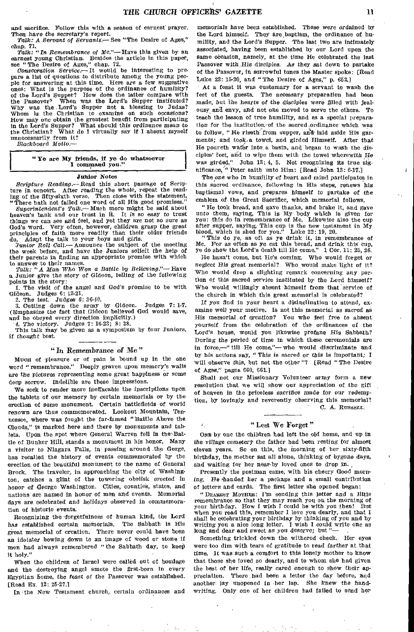and sacrifice. Follow this with a season of earnest prayer. Then *have* the secretary's report.

*Talk:* A Servant *of Servants.—* See "The Desire of Ages," chap. 71.

*Talk: "In Remembrance of Me."—Have* this given by an earnest young Christian. Besides the article in this paper,

see "The Desire of Ages," chap. 72. *Consecration Service.—It* would be interesting to prepare a list of questions to distribute among the young people for answering at this time. Here are a few suggestive ones: What is the purpose of the ordinance of humility? of the Lord's Supper? How does the latter compare with the Passover? When was the Lord's Supper instituted? When was the Lord's Supper instituted? Why was the .Lord's Supper not a blessing to Judas? Whom is the Christian to examine on such occasions? How may one obtain the greatest benefit from participating in the Lord's Supper? What should this ordinance mean to the Christian? What do I virtually say if I absent myself unnecessarily from it?

*Blackboard Motto.—* 

# " Ye are My friends, if ye do whatsoever I command you."

#### Junior Notes

*Scripture Reading.—* Read this short passage of Scrip ture in concert. After reading the whole, repeat the reading of the fifty-sixth verse. Then close with the statement, There hath not failed one word of all His good promises.

Superintendent's Talk.— Much more might be said about heaven's bank and our trust in it. It is so easy to trust things we can see and feel, and yet they are not so sure as God's word. Very often, however, children grasp the great principles of faith more readily than their older friends do. Adapt the talk to your boys and girls.

*Junior Roll Call.—* Announce the subject of the meeting the- week before, and have the Juniors *solicit* the help of their parents in finding an appropriate promise with which to answer to their names.

*Talk: "A Man Who Won a Battle by Believing."—Have*  a Junior give the story of *Gideon,* telling of the following points in the story:

1. The visit of the angel and God's promise to be with Gideon. Judges 6: 12-21.

2. The test, Judges *6:* 36-40.

3. Cutting down the army by Gideon. Judges 7: 1-7. (Emphasize the fact that Gideon believed God would save, and he obeyed every direction implicitly.)

4. The victory. Judges 7: 16-23; 8: 28.

This talk may be given as a symposium by four Juniors, if thought best

#### " In Remembrance of Me "

Moon of pleasure or of pain is bound up in the one word "remembrance." Deeply graven upon memory's walls are the pictures representing some great happiness or some deep sorrow. Indelible are these impressions.

We seek to render more ineffacable the inscriptions upon the tablets of our memory by certain memorials or by the erection of some monument. Certain battlefields of world renown are thus commemorated. Lookout Mountain, Tennessee, where was fought the far-famed "Battle Above the Clouds," is marked here and there by monuments and tablets. Upon the spot where General Warren fell in the Battle of Bunker Hill, stands a monument in his honor. Many a *visitor* to Niagara Falls, in passing around the Gorge, has recalled the history of events commemorated by the erection of the beautiful monument *to* the name of General Brock. The traveler, in approaching the city of Washington, catches a glint of the towering obelisk erected in honor of George Washington. Cities, counties, states, and nations are named in honor of men and events. Memorial days are celebrated and holidays observed in commemoration of historic events.

Recognizing the -forgetfulness of human kind, the Lord has established certain memorials. The Sabbath is His great memorial of creation. There never could have been an idolater bowing *down to* an image of wood or stone if men had always remembered "the Sabbath day, to keep it holy."

When the children of Israel were called out of bondage and the destroying angel smote the first-born in every Egyptian home, the feast *of* the Passover was established. [Read Ex, 12: 25-27.]

In the New Testament church, certain *ordinances* and

memorials have been established. These were ordained by the Lord himself. They are baptism, the ordinance of humility, and the Lord's Supper. The last two are intimately associated, having been established by our Lord upon the same occasion, namely, at the time He celebrated the last Passover with His disciples. As they sat down to partake of the Passover, in sorrowful tones the Master spoke: [Read Luke 22: 15-20, and "The Desire of Ages," p. 662.]

At a feast it was customary for a servant to wash the feet of the guests. The necessary preparation had been made, but the hearts of the disciples were filled with jealousy, and envy, and not one moved to serve the others. To teach the lesson of true humility, and as a special preparation for the institution-of the sacred ordinance which was to follow, "He riseth from supper, and laid aside His garments; and took, a towel, and girded Himself. After that He poureth water into a basin, and began to wash the disciples' feet, and to wipe them with the towel wherewith He was girded." John 13: 4, 5. Not recognizing its true significance,  $4$  Peter saith unto Him: [Read John 13: 6-17.]

The one who in humility *of* heart and mind participates in this sacred ordinance, following in His steps, renews his baptismal vows, and prepares himself to partake of the emblem of the Great Sacrifice, which memorial follows.

" He took bread, and gave thanks, and brake it, and gave unto them, saying, This is My body which is given for you: this do in remembrance of Me. Likewise also the cup after supper, saying, This cup is the new testament in My blood, which is shed for you." Luke  $22: 19, 20$ .

This do ye, as oft as ye drink it, in remembrance of Me. For as often as ye eat this bread, and drink this cup, ye do show the Lord's death till He come." 1 Cor. 11: 25, 26.

He hasn't come, but He's coming. Who would forget or neglect His great memorial? Who would make light of it? Who would drop a slighting remark concerning any portion of this sacred service instituted by the Lord himself? Who would willingly absent himself from that service of the church in which this great memorial is celebrated?

If *you find* in your heart a disinclination to attend, examine well your motive. Is not this memorial as sacred as His memorial of creation? You who feel free to absent Yourself from the celebration of the ordinances of the Lord's house, would you likewise profane His Sabbath? *During* the period of time in which these ceremonials are in force,-"till He come,"- who would discriminate and by his actions say, " This is sacred or this is important; I Will observe this, but not the other "? [Read " The Desire of Ages," pages 060, 661.]

Shall not our Missionary Volunteer army form a new resolution that we will show our appreciation of the gift of heaven in the priceless sacrifice made for our redemption, by lovingly and reverently observing this memorial? C. A. RUSSELL.

## "Lest We Forget"

ONE by one the children had left the old home, and up in the village cemetery the father had been resting for almost eleven years. So on this, the morning of her sixty-fifth birthday, the mother sat all alone, thinking of *bygone* days, and waiting for her near-by loved ones to drop in.

Presently the postman came, with his cheery Good morning. He 'handed her a package and a small contribution of letters and cards. The first letter she opened began:

"DEAREST MOTHER: I'm sending this letter and a little remembrance so that they may reach you on the morning of your birthday. How I wish I could be with you then! But when you read this, remember I love you dearly, and that I shall be celebrating your birthday by thinking of you and by writing you a nice long letter. I wish I could write one as long and dear and sweet as you deserve; but'

Something trickled down the withered cheek. Her eyes were too dim with tears of gratitude to read farther at that time. It was such a comfort to this lonely mother to know that those she loved so dearly, and to whom she had given the best of her life, really cared enough to show their appreciation. There had been a letter the day before, and another lay unopened in her lap. She knew the handwriting. Only one of her children had failed to send her

 $\mathbf{I}$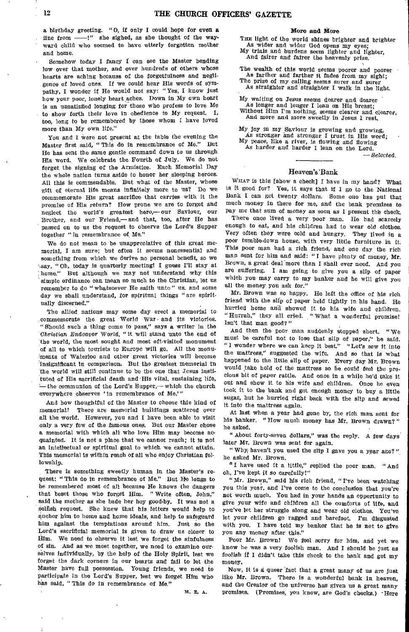a birthday greeting. " 0, if only I could hope for even a line from —!" she sighed, as she thought of the wayward child who seemed to have utterly forgotten mother and home.

Somehow today I fancy I can see the Master bending low over that mother, and over hundreds of others whose hearts are aching because of the forgetfulness and negligence of loved ones. If we could hear His words of sympathy, I wonder if He would not say: "Yes, I know just how your poor, lonely heart aches. Down in My own heart is an unsatisfied longing for those who profess to love Me to show forth their love in obedience to My request. I, too, long to be remembered by those whom I have loved more than My own life."

You and I were not present at the table the evening the Master first said, " This do in remembrance of Me." But He has sent the same gentle command down to us through His word. We celebrate the Fourth of July. We do not forget the signing of the Armistice. Each Memorial Day the whole nation turns aside to honor her sleeping heroes. All this is commendable. But what of the Master, whose gift of eternal life means infinitely more to us? Do we commemorate His great sacrifice that carries with it the promise of His return? How prone we are to forget and neglect the world's greatest hero,—our Saviour, our Brother, and our Friend,— and that, too, after He has passed on to us the request to observe the Lord's Supper together " in remembrance of Me."

We do not mean to be unappreciative of this great memorial, I am sure; but often it seems nonessential and something from which we derive no personal benefit, so we \say, "Oh, today is quarterly meeting! I guess I'll stay at home." But although we may not understand why this simple ordinance can mean so much to the Christian, let us remember to do "whatsoever He saith unto " us, and some day we shall understand, for spiritual things "are spiritually discerned."

The allied nations may some day erect a memorial to commemorate the great World War • and its victories. " Should such a thing come to pass," says a writer in the Christian Endeavor World, "it will stand unto the end of the world, the most sought and most oft-visited monument of all to which tourists to Europe will go. All the monuments of Waterloo and other great victories will become insignificant in comparison. But the greatest memorial in the world will still continue to be the one that Jesus instituted of His sacrificial death and His vital, sustaining life,  $-$  the communion of the Lord's Supper,— which the church everywhere observes ' in remembrance of Me.'"

And how thoughtful of the Master to choose this kind of memorial! There are memorial buildings scattered over all the world. However, you and I have been able to visit only a very few of the famous ones. But our Master chose a memorial with which all who love Him may become acquainted. It is not a place that we cannot reach; it is not an intellectual or spiritual goal to which we cannot attain. This memorial is within reach of all who enjoy Christian fellowship.

There is something sweetly human in the Master's request: " This do in remembrance of Me." But He longs to be remembered most of all because He knows the dangers that beset those who forget Him. "Write often, John," said the mother as she bade her boy good-by. It was not a selfish request. She knew that his letters would help to anchor him to home and home ideals, and help to safeguard him against the temptations around him. Just so the Lord's sacrificial memorial is given to draw us closer to Him. We need to observe it lest we forget the sinfulness of sin. And as we meet together, we need to examine ourselves individually, by the help of the Holy Spirit, lest we forget the dark corners in our hearts and fail to let the Master have full possession. Young friends, we need to participate in the Lord's Supper, lest we forget Hlm who has said, " This do in remembrance of Me."

 $\mathbf{t}$ 

M. E.

#### More and More

THE light of the world shines brighter and brighter As wider and wider God opens my eyes; My trials and burdens seem lighter and lighter,

And fairer and fairer the heavenly prize.

The wealth of this world seems poorer and poorer As farther and farther it fades from my sight; The prize of my calling seems surer and surer As straighter and straighter I walk in the light.

My waiting on Jesus seems dearer and dearer As longer and longer I lean on His breast; Without Him I'm nothing, seems clearer and clearer, And more and more sweetly in Jesus I rest.

My joy in my Saviour is growing and growing, As stronger and stronger I trust in His word; My peace, like a river, is flowing and flowing As harder and harder I lean on the Lord.

*— Selected.* 

#### Heaven's 'Bank

WHAT is this [show a check] I have in my hand? What is it good for? Yes, it says that if I go to the National Bank I can get twenty dollars. Some one has put that much money in there for me, and the bank promises to pay me that sum of money as soon as I present the check.

There once lived a very poor man. He had scarcely enough to eat, and his children had to wear old clothes. Very often they were cold and hungry. They lived in a poor tumble-down house, with very little furniture in it. This poor man had a rich friend, and one day the rich man sent for him and said: " I have plenty of money, Mr. Brown, a great deal more than I shall ever need. And you are suffering. I am going to give you a slip of paper which you may carry to my banker and he will give you all the money you ask for."

Mr. Brown was so happy. He left the office of his rich friend with the slip of paper held tightly in his hand. He hurried home and showed it to his wife and children. "Hurrah," they all cried. "What a wonderful promise! Isn't that man good?"

And then the poor man suddenly stopped short. " We must be careful not to lose that slip of paper," he said. "I wonder where we can keep it best." "Let's sew it into the mattress," suggested the wife And so that is what happened to the little slip of paper. Every day Mr. Brown would take hold of the mattress so he could feel the precious bit of paper rattle. And once in a while he'd take it out and show it to his wife and children, Once he even took it to the bank and got enough money to buy a little sugar, but he hurried right back with the slip and sewed it into the mattress again.

At last when a year had gone by, the rich man sent for his banker. "How much money has Mr. Brown drawn?" he asked.

"About forty-seven dollars," was the reply. A few days later Mr. Brown was sent for again.

"Why( haven't you used the slip I gave you a year ago?", he asked Mr, Brown.

"I have used it a little," replied the poor man "And oh, I've kept it so carefully!"

"Mr. Brown," said his rich friend, "I've been watching You this year, and I've come to the conclusion that you're not worth much. You had in your hands an opportunity to give your wife and children all the comforts of life, and you've let her struggle along and wear old clothes. You've let your children go ragged and barefoot. I'm disgusted with you. I have told my banker that he is not to give you any money after this."

Poor Mr. Brown! We feel sorry for him, and yet we know he was a very foolish man. And I should be just as foolish if I didn't take this check to the bank and get my money.

Now, it is a queer fact that a great many of us are just like Mr. Brown. There is a wonderful bank in heaven, and the Creator of the universe has given us a great many promises. (Promises, you know, are God's checks.) -Here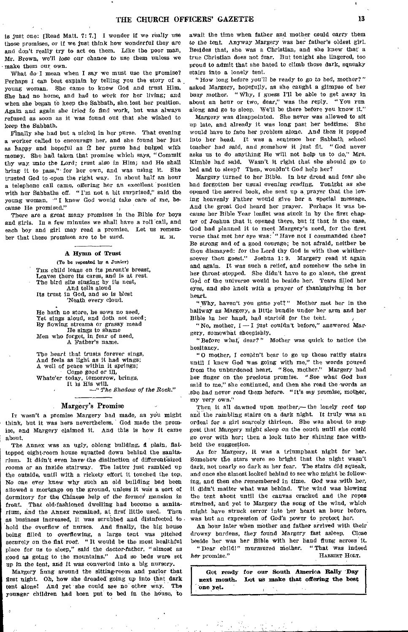is Just one: [Read Matt. 7: 7.] I wonder if we really use those promises, or if we Just think how wonderful they are and don't really try to act on them. Like the poor man, Mr. Brown, we'll lose our *chance* to use them unless we make them our own.

What do'I mean when I say we must use the promise? Perhaps I can best explain by telling you the story of a young woman. She came to know God and trust Him She had no home, and had to work for her living; and when she began to keep the Sabbath, she, lost her position. Again and again she tried to find work, but was always refused as soon as it was found out that she wished to keep the Sabbath.

finally she had but a nickel in her purse. That evening a worker called to encourage her, and she found her just as happy and hopeful as If her purse had bulged with money. She had taken that promise which says, "Commit thy way unto the Lord; *trust* also in Him; and He shall bring it to pass," for her own, and was using it. She trusted God to-open the right way. In about half an hour a telephone call came, offering her an excellent position with her Sabbaths off. " I'm not a bit surprised," said the young woman. '"I knew God would take care of me, because He promised."

There are a *great* many promises in the Bible for boys and girls. In a few minutes we shall have a roll call, and each boy and girl may read a promise. Let us remember that these promises are to be *used*. IL. H.

#### A Hymn of Trust

(To be repeated by a Junior) THE child leans on its parent's breast, Leaves there its cares, and is at rest. The bird sits singing by its nest, And tells aloud Its trust in God, and so is blest 'Neath every cloud.

He hath no store, he sows no seed, Yet sings aloud, and doth not need; By flowing streams or grassy mead He sings to shame Men who forget, in fear of need, A Father's name.

The heart that trusts forever sings, And feels as light as It had wings; A well of peace within It springs;

Come good or ill, Whate'er today, tomorrow, brings,

It is His will. *—" The Shodow of the Rock."* 

#### Margery's Promise

IT wasn't a promise Margery had made, as ydu might think, but it was hers nevertheless. God made the promise, and Margery claimed it. And this is how It came about.

The Annex was an ugly, oblong building, a plain, flattopped eight-room house squatted down behind the sanitarium. It didn't even have the distinction of different-sized rooms or an inside stairway, The latter just rambled up the outside, until with a rickety effort it touched the top. No one ever knew why such an old building had been allowed a mortgage on the ground, unless it was a sort of dormitory for the Chinese help of the former' *mansion in*  front. That old-fashioned dwelling had become a sanitarium, and the Annex remained, at first little used. Then as business Increased, it was scrubbed and disinfected to told the overflow of nurses. And finally, the big house being filled to overflowing, a large tent was pitched securely on the fiat roof. " It would be the most healthful place for us to sleep," said the *doctor-father, "almost* as good as going to the mountains." And so beds were set *up* in the tent, and It was converted into a big nursery.

Margery hung around the sitting-room and parlor that first night. Oh, how she dreaded going up into that dark<br>tent alone! And yet she could see no other way. The tent alone! And yet she could see no other way. younger children had been put to bed in the house, to await the time when father and mother could carry them to the tent. *Anyway* Margery was her father's oldest girl. Besides that, she was a Christian, and she knew that a true Christian does not fear. But tonight she lingered, too proud to admit that she hated to climb those dark, squeaky stairs into a lonely tent.

"How long before you'll be ready to go to bed, mother?" asked Margery, hopefully, as she caught a glimpse of her busy mother. "Why, I guess I'll be able to get away in about an hour or two, dear," was the reply. "You run along and go to sleep. We'll be there before you know it."

Margery was disappointed. She never was allowed to sit up late, and already it was long past her bedtime. She would have to face her problem alone. *And then it* popped into her head. It was a sentence her Sabbath school teacher had said, and somehow it just fit. "God never asks us to do anything He will not help us to do," Mrs. Kimble had said. Wasn't it right that she should go to bed and to sleep? Then, wouldn't God help her?

Margery turned to her Bible. In her dread and fear she had forgotten her usual evening *reading. Tonight as* she opened the sacred book, she sent up a prayer that the loving heavenly Father would give her a special message. And the great God heard her prayer. Perhaps it was because her Bible Year leaflet was stuck in by the first chapter of Joshua that it opened there, but if that is the case, God had planned it to meet Margery's need, for the first verse that met her eye was: "Have not I commanded thee? Be strong and of a good courage; be not afraid, neither be thou dismayed: for the Lord thy God is with thee whithersoever thou goest." Joshua 1: 9. Margery read it again and again. It was such a relief, and somehow the ache in her throat stopped. She didn't have to go alone, the great God of the universe would be beside her. Tears filled her eyes, and she knelt with a prayer of thanksgiving in her heart

"Why, haven't you gone yet?" Mother met her in the hallway as Margery, a little bundle under her arm and her Bible in her hand, had started for the teht.

"No, mother,  $I \rightarrow I$  just couldn't before," answered Margery, somewhat sheepishly.

*"Before what;* dear?" Mother was quick to notice the hesitancy.

"O mother, I couldn't bear to go up those rattly stairs until I knew God was going with me," the words poured from the unburdened heart. "See, mother." Margery had her finger on the precious promise. "See what God has said to me," she continued, and then she read the words as she had never read them before. "It's my promise, mother, my very own."

Then it all dawned upon mother,—the lonely roof top and the rambling stairs on a dark night. It truly was an ordeal for a girl scarcely thirteen. She was about to suggest that Margery might sleep on the couch *until* she could go over with her; then a look into her shining face withheld the suggestion.

As for Margery, it was a triumphant night for her. Somehow the stars were so bright that the night wasn't dark, not nearly so dark as her fear. The stairs did squeak, and once she almost looked behind to see who might be following, and then she remembered in time. God was with her, it didn't matter what was behind. The wind was blowing the tent about until the canvas cracked and the ropes strained; and yet to Margery the song of the wind, which might have struck terror into her heart an hour before, was but an expression of God's power to protect her.

An hour later when mother and father arrived with their drowsy burdens, they found *Margery* fast asleep. Close

beside her was her Bible with her hand flung across it. "Dear child!" murmured mother. *her* promise." HARRIET HOLT.

| Get ready for our South America Rally Day      |  |  |  |
|------------------------------------------------|--|--|--|
| next month. Let us make that offering the best |  |  |  |
| one yet.                                       |  |  |  |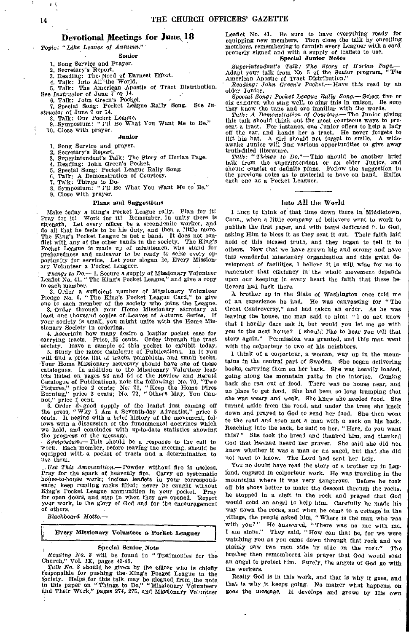## **Devotional Meetings for June 18**

Topic: "Like *Leaves of Autumn."* 

Senior

1. Song Service and Prayer.

2. Secretary's Report.

3. Reading: The.Need of Earnest Effort.

4. Taik: Into Ali<sup>u</sup>the World.<br>5. Talk: The American Apostle of Tract Distribution. See Instructor of June 7'or 14.

6. Talk: John Green's Pocket. 7. Special Song: Pocket League Rally Song. See In-

structor of June 7 or 14.

8. Talk: Our Pocket League. 9. Symposium: "I'll Be What You Want Me to Be." 10. Close with prayer.

#### Junior

1. Song Service and prayer.

Secretary's Report.

3. Superintendent's Talk: The Story of Harlan Page.

4. Reading: John Green's Pocket.

5. Special Song: Pocket League Rally Song. 6. Talk: A Demonstration of Courtesy. 7. Talk: Things to Do. 8. Symposium: " I'll Be What You Want Me to Be." 9. Close with prayer.

#### Plans and Suggestions

• Make today a King's Pocket League rally. Plan for it! Pray for it! Work for it! Remember, in unity there is Pray for it! Work for it! Remember, in unity there is<br>strength. Let every officer be a second-mile worker, and do all that he feels to be his duty, and then a little more. The King's Pocket League is not a band. It does not conflict with any of the other bands in the society. The King's Pocket League is made up of minutemen, who stand for preparedness and endeavor to be ready to seize every op-portunity for service. Let your slogan be, Every Missionary Volunteer a Pocket Leaguer.

*Things to Do.—* 1. Secure a supply of Missionary Volunteer Leaflet No. 41, "The King's Pocket League," and give a copy to each member.

2. Order a sufficient number of Missionary Volunteer Pledge No. 6, "The King's Pocket League Card," to give one to each member of the society who joins the League.

1e to each member of the sociology was secretary at<br>3. Order through your Home Missionary secretary at least one thousand copies of Leaves of Autumn Series. If your society is small, you might unite with the Home Missionary Society in ordering.

4. Ascertain how many desire a leather pocket case for carrying tracts. Price, 25 cents. Order through the tract society. Have a sample of this pocket to exhibit today.

5. Study the latest Catalogue of Publications. In it you will find a price list of tracts, pamphlets, and small books, Your Home Missionary secretary should have one of these catalogues. In addition to the Missionary Volunteer leaflets listed on pages 53 and 54 of the Review and Herald Catalogue of Publications, note the following: No. 70, "Two Pictures," price 2 cents; No. 71, "Keep the Home Fires Burning," price 2 cents; No. 72, " Others May, You Can-

not," price 1 cent.<br>
6. Order a good supply of the leaflet just coming off<br>
the press, "Why I Am a Seventh-day Adventist," price 5 cents, It begins with a brief history of the movement, follows with a discussion of the fundamental doctrines which we hold, and concludes with up-to-date statistics showing

the progress of the message. *Symposium.—* This should be a response to the call to work. Each member, before leaving the meeting, should be equipped with a pocket of tracts and a determination to use them,

Use This Ammunition.—Powder without fire is useless. Pray for the spark of heavenly fire. Carry on systematic house-to-house work; inclose leaflets in your correspondence; keep reading racks filled; never be caught without King's Pocket League ammunition in your pocket. Pray for open doors, and step in when they are opened. Report your work, to the glory of God and for the encouragement of others.

Blackboard Motto.—

### I. Every Missionary Volunteer a Pocket Leaguer

#### Special Senior Note

*Reading No. 3* will be found in " Testimonies for the Vol. IX, pages 43-45.

Talk *No. 8* should be given by the officer who is-chiefly responsible for pushing the King's Pocket League in the society. Helps for this talk, may be gleaned from the note. in this paper on "Things to Do," "Missionary Volunteers and Their Work," pages 274, 275, and Missionary Volunteer

Leaflet No. 41. Be sure to have everything ready for equipping new members. Then close the talk by enrolling members, remembering to furnish every Leaguer with a card properly signed and with a supply of leaflets to use. Special Junior Notes

*Superintendent's Talk: The Story of Harlan Page.—* Adapt your talk from No. 6 of the Senior program, "The American Apostle of Tract Distribution."

*Reading: John Green's Pocket.—Have* this read by an older Junior,

*Special Song: Pocket League Rally Song.—* Select five or six children who sing well, to sing this in unison.

they know the tune and are familiar with the words. *Talk: A Demonstration of Courtesy.—The* Junior giving this talk should think out the most courteous ways to present a tract. For instance, one Junior offers to help a lady off the car, and hands her a tract. He never forgets to lift his hat. A girl should not forget to smile. A wide-awake Junior will find various opportunities to give away

truth-filled literature, *Talk: "Things to Do."—* This should be another brief talk from the superintendent or an older Junior, and should consist of definite plans. Follow the suggestion in should consist of definite plans. Follow the suggestion in the previous notes as to material to have on hand. Enlist each one as a Pocket Leaguer.

#### Into All the World

I LIKE to think of that time down there in Middletown, Conn., when a little company of believers went to work to publish the first paper, and with tears dedicated it to God, asking Him to bless it as they *sent* it out. Their faith laid hold of this blessed truth, and they began to tell it to others. Now that we have grown big and strong and have this wonderful missionary organization and this great development of facilities, I believe it is still wise for us to remember that efficiency in the whole movement depends upon our keeping in every heart the faith that these believers had back there.

A brother up in the State of Washington once told me of an experience he had. He was canvassing for " The Great Controversy," and had taken an order. As he was leaving the house, the man said to him: " I do not know that I hardly dare ask it, but would you let me go with you to the next house? I should like to hear you tell that story again." Permission was granted, and this man went with the colporteur to two of his neighbors.

I think of a colporteur, a woman, way up in the mountains in the central part of Sweden. She began delivering books, carrying them on her back. She was heavily loaded, going along the mountain paths in the interior. Coming back she ran out of food. There was no house near, and no place to get food. She had been *so* long tramping that she was weary and weak. She knew she needed food. She turned aside from the road, and under the trees she knelt down and prayed to God to send her food. She then went to the road and soon met a man with a sack on his hadk. Reaching into the sack, he said to her, "Here, do you want this?" She took the bread and thanked him, and thanked God that Hethad heard her prayer. She said she did not know whether it was a man or an angel, but that she did not need to know. The Lord had sent her help.

You no doubt have read the story of a brother up in Lapland, engaged in colporteur work. He was traveling in the mountains where it was very dangerous. Before he took off his shoes better to make the descent through the rocks, he stopped in a cleft in the rock and prayed that God would send an angel to help him. Carefully he made his way down the rocks, and when he came to a cottage in the village, the people asked him, " Where is the man who was with you?" He answered, "There was no one with me. I am alone." They said, "How can that be, for we were watching YOU as you came down through that rock and we plainly saw two men side by side on the rook." The brother then remembered his prayer that God would send an angel to protect him. Surely, the angels of God go with the workers.

Really God is in this work, and that is why it goes, and that is why it keeps going. No matter what happens, on goes the message. It develops and grows by His own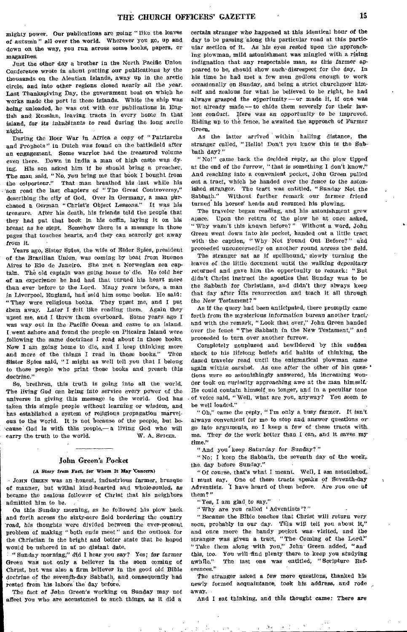mighty power. Our publications are going "like the leaves of *autumn" all* over the world. Wherever you go, up and down on the way, you run across some books, papers, or magazines:

Just the other day a brother in the North Pacific Union Conference wrote in about putting *our* publications by the thousands on the Aleutian Islands, away up in the arctic circle, and into other regions closed nearly all the year. Last Thanksgiving Day, the government boat on which he works made the port in these islands. While the ship was *being unloaded,* he was out with our publications in English and Russian, leaving tracts in every home in that island, for its *inhabitants to* read during the long arctic night.

During the Boer War in Africa a copy of " Patriarchs and Prophets" in Dutch was found on the battlefield after an engagement. Some warrior had the treasured volume even there. Down in India a man of high caste was dying. His son asked him if he should bring a preacher. The man said, "No, you bring me that book I bought from the colporteur." That man breathed his /last while his 'son read the last chapters of "The Great Controversy," describing the city of God. Over in Germany, a man purchased a German "Christ's Object Lessons." It was his treasure. After his death, his friends told the people that they had put that book in his coffin, laying it on his breast as he slept. Somehow there is a message in those pages that touches hearts, and they can scarcely get away from it.

Years ago, Sister Spies, the wife of Eider Spies, president of the Brazilian Union, was coming by boat from Buenos Aires to Rio de Janeiro. She met a Norwegian sea captain. The old captain was going home to' die. Re told her of an experience he had had that turned his heart more than ever before to the Lord. Many years before, a man in Liverpool, England, had sold him some books. He said: "'They were religious books. They upset me, and I put them *away.* Later I felt like reading them. Again they upset me, and I threw them overboard. Some years ago I was way out in the Pacific Ocean and came to an island. I went ashore and found the people on Pitcairn Island were following the same doctrines I read about in those books. Now I am going home to die, and I keep thinking more and more of the things I read in those books." Sister Spies said, " I might as well tell you that I belong to those people who print those books and preach this *doctrine."* 

So, brethren, this truth is going into all the world. The living God can *bring* into service every power of the universe in giving this message to the world. God has taken this simple people without *learning or* wisdom, and has established a system of religious propagation marvelous to the world. It is not because of the people, but be- '.cause God is with this people,— a living God who will carry the truth to the world.

## John Green's Pocket

## a *Story from Fact, for* Whom *It May* 'Concern)

JOHN GREEN was an honest, industrious farmer, brusque of manner, but withal kind-hearted and whole-souled, *as*  became the zealous follower of Christ that his neighbors admitted him to be.

On this Sunday morning, as he followed his plow back and forth across the sixty-acre field bordering the country 'road, his thoughts were divided between the ever-present problem of making "both ends meet" and the outlook for the Christian in the bright and better state that he hoped would be ushered in at no distant date.

"Sunday morning," did I hear you say? Yes; for *farmer*  Green was not only a believer in the soon coming of Christ, but was also a firm believer in the good old Bible doctrine of the seventh-day Sabbath, and, consequently had rested from bis labors the day before.

The fact *of John* Green's working on Sunday may not affect you who are accustomed to such things, as it did a

certain stranger who happened at this identical hour of the day to be passing 'along this particular road at this particular section of it. As his eyes rested upon the approaching plowman, mild astonishment was mingled with a rising indignation that any respectable man, as this *farmer am*  peared to be, should show such disrespect for the day. In his time he had met a few men godless enough to work occasionally en Sunday, and being a strict churchgoer himself and zealous for what he believed to be right, he had always grasped the opportunity—or made it, if one was not already made—to chide them severely for their lawless conduct. Here was an opportunity to be improved. Riding up to the fence, he awaited the approach of Farmer Green.

As the latter arrived within hailing distance, the stranger called, "Hello! Don't you know this is the Sabbath day?"

"No!" came back the decided reply, as the plow tipped at the end *of* the furrow, "that is something I don't know." And reaching into a convenient pocket, John Green pulled out a tract, which he handed over the *fence to the* astonished stranger. The tract was entitled, "Sunday Not the Sabbath." Without further remark our farmer friend Without further remark our farmer friend turned his horses' heads and resumed his plowing.

The traveler began reading, and his astonishment grew apace. Upon the return of the plow he at once asked, "Why wasn't this known before?" Without a word, John Green went down into his pocket, handed out a little tract with the caption, "Why Not Found Out Before?" and proceeded unconcernedly on another round across the field.

The stranger sat as if spellbound, slowly turning the leaves of the little document until the walking depositary returned and gave him the opportunity to remark: "But didn't Christ instruct the apostles that Sunday was to be the Sabbath for Christians, and didn't they always keep that day after His resurrection and teach it all through the New *Testament?"* 

As if the query had been anticipated, there promptly came forth from the mysterious information bureau another tract; and with the remark, "Look that over," John Green handed over the fence "The Sabbath in the New Testament," and proceeded to turn over another furrow.

Completely nonplused and bewildered by this sudden shock to his lifelong beliefs arid habits of thinking, the dazed traveler read until the enigmatical plowman came again within earshot. As one after the other of his questions were so astonishingly answered, his increasing wonder took on curiosity approaching *awe at* the man himself. He could contain himself no longer, and in a peculiar tone of voice said, "Well, what are you, anyway? You seem to be well loaded."

" Oh," came the eeply, " I'm only a busy farmer. It isn't always convenient for me to stop and answer questions or go into arguments, so I keep a few of these tracts with. me. They do the work better than I Can, and it saves my time."

"And you' keep Saturday *for* Sunday?"

" No; I keep the Sabbath, the seventh day of the week,. the day before Sunday."

"Of course, that's what I meant. Well, I am astonished, I must say. One of these tracts speaks of Seventh-day Adventists. I have heard of them before. Are you one of them?"

"Yes, I am *glad, to say:" '* 

'Why are you called 'Adventists'?"

"Because the Bible teaches that Christ will return very soon, probably in our day. This will tell you about it," and once more the handy pocket was visited, *and* 'the stranger was given a tract, "The Coming of the Lord." "Take them along with you," John Green added, "and this, too. You will find plenty there to keep you studying<br>awhile." The last one was entitled, "Scripture Ref-The last one was entitled; "Scripture References."

The stranger asked a few more questions, thanked his newly formed acquaintance, took his address, and rode , away.

And I sat thinking, and this thought came: There are